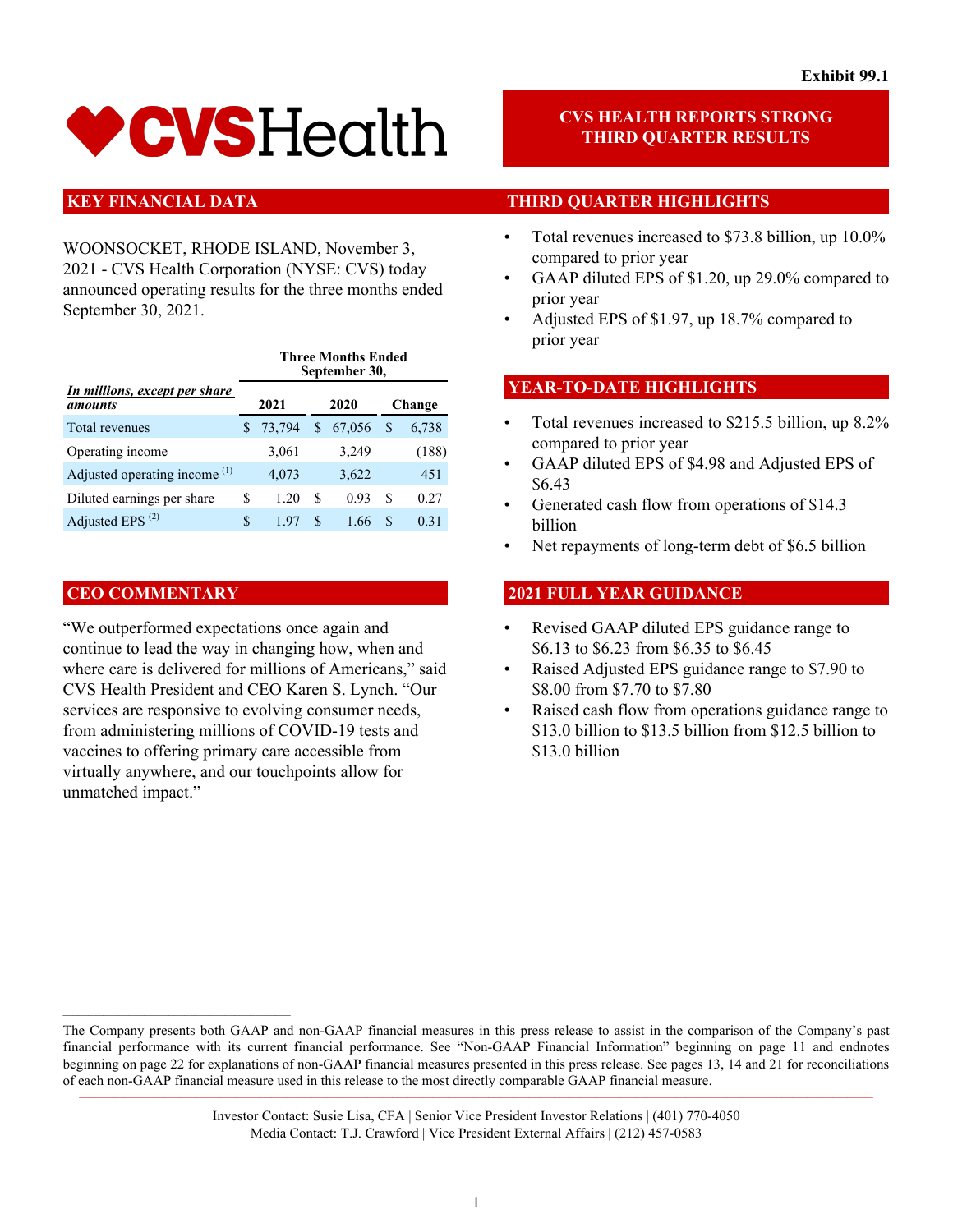# **VCVSHealth**

## **KEY FINANCIAL DATA**

WOONSOCKET, RHODE ISLAND, November 3, 2021 - CVS Health Corporation (NYSE: CVS) today announced operating results for the three months ended September 30, 2021.

|                                                 | <b>Three Months Ended</b><br>September 30, |        |    |        |    |        |  |  |  |  |  |  |  |
|-------------------------------------------------|--------------------------------------------|--------|----|--------|----|--------|--|--|--|--|--|--|--|
| <b>In millions, except per share</b><br>amounts |                                            | 2021   |    | 2020   |    | Change |  |  |  |  |  |  |  |
| Total revenues                                  |                                            | 73,794 | S  | 67,056 | S. | 6,738  |  |  |  |  |  |  |  |
| Operating income                                |                                            | 3,061  |    | 3,249  |    | (188)  |  |  |  |  |  |  |  |
| Adjusted operating income <sup>(1)</sup>        |                                            | 4,073  |    | 3,622  |    | 451    |  |  |  |  |  |  |  |
| Diluted earnings per share                      | S                                          | 1 2.0  | S  | 0.93   | S  | 0.27   |  |  |  |  |  |  |  |
| Adjusted EPS <sup>(2)</sup>                     | S.                                         | 197    | S. | 1.66   | S  | 0.31   |  |  |  |  |  |  |  |

## **CEO COMMENTARY**

 $\mathcal{L}_\text{max} = \mathcal{L}_\text{max} = \mathcal{L}_\text{max} = \mathcal{L}_\text{max} = \mathcal{L}_\text{max} = \mathcal{L}_\text{max}$ 

"We outperformed expectations once again and continue to lead the way in changing how, when and where care is delivered for millions of Americans," said CVS Health President and CEO Karen S. Lynch. "Our services are responsive to evolving consumer needs, from administering millions of COVID-19 tests and vaccines to offering primary care accessible from virtually anywhere, and our touchpoints allow for unmatched impact."

## **CVS HEALTH REPORTS STRONG THIRD QUARTER RESULTS**

#### **THIRD QUARTER HIGHLIGHTS**

- Total revenues increased to \$73.8 billion, up 10.0% compared to prior year
- GAAP diluted EPS of \$1.20, up 29.0% compared to prior year
- Adjusted EPS of \$1.97, up 18.7% compared to prior year

## **YEAR-TO-DATE HIGHLIGHTS**

- Total revenues increased to \$215.5 billion, up 8.2% compared to prior year
- GAAP diluted EPS of \$4.98 and Adjusted EPS of \$6.43
- Generated cash flow from operations of \$14.3 billion
- Net repayments of long-term debt of \$6.5 billion

## **2021 FULL YEAR GUIDANCE**

- Revised GAAP diluted EPS guidance range to \$6.13 to \$6.23 from \$6.35 to \$6.45
- Raised Adjusted EPS guidance range to \$7.90 to \$8.00 from \$7.70 to \$7.80
- Raised cash flow from operations guidance range to \$13.0 billion to \$13.5 billion from \$12.5 billion to \$13.0 billion

 $\mathcal{L}_\mathcal{L} = \mathcal{L}_\mathcal{L} = \mathcal{L}_\mathcal{L} = \mathcal{L}_\mathcal{L} = \mathcal{L}_\mathcal{L} = \mathcal{L}_\mathcal{L} = \mathcal{L}_\mathcal{L} = \mathcal{L}_\mathcal{L} = \mathcal{L}_\mathcal{L} = \mathcal{L}_\mathcal{L} = \mathcal{L}_\mathcal{L} = \mathcal{L}_\mathcal{L} = \mathcal{L}_\mathcal{L} = \mathcal{L}_\mathcal{L} = \mathcal{L}_\mathcal{L} = \mathcal{L}_\mathcal{L} = \mathcal{L}_\mathcal{L}$ 

The Company presents both GAAP and non-GAAP financial measures in this press release to assist in the comparison of the Company's past financial performance with its current financial performance. See "Non-GAAP Financial Information" beginning on page 11 and endnotes beginning on page 22 for explanations of non-GAAP financial measures presented in this press release. See pages 13, 14 and 21 for reconciliations of each non-GAAP financial measure used in this release to the most directly comparable GAAP financial measure.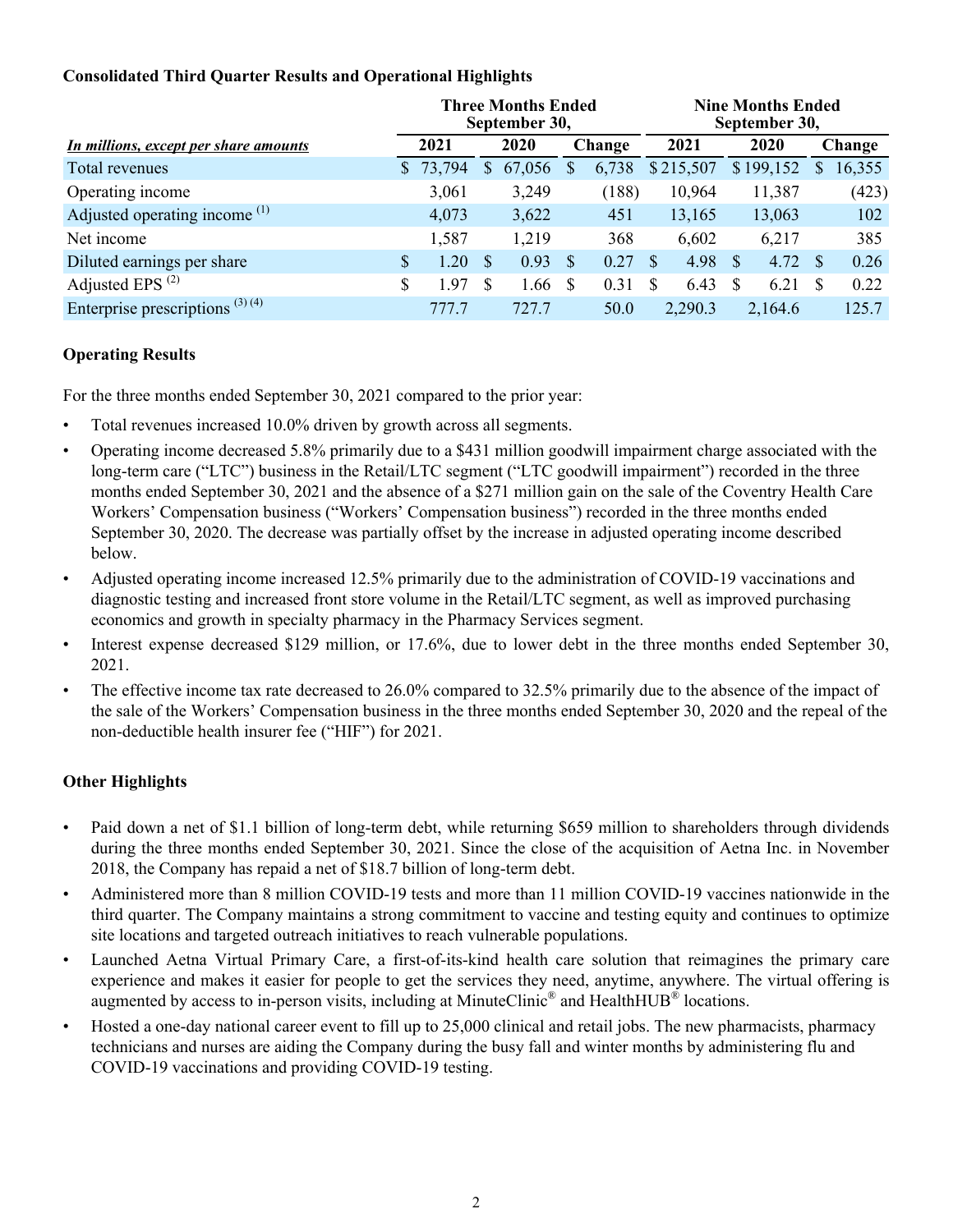## **Consolidated Third Quarter Results and Operational Highlights**

|                                            |               |          |               | <b>Three Months Ended</b><br>September 30, |               |        |      | <b>Nine Months Ended</b> | September 30, |           |          |        |
|--------------------------------------------|---------------|----------|---------------|--------------------------------------------|---------------|--------|------|--------------------------|---------------|-----------|----------|--------|
| In millions, except per share amounts      |               | 2021     |               | 2020                                       |               | Change | 2021 |                          | 2020          |           |          | Change |
| Total revenues                             |               | \$73,794 | S             | 67,056                                     | S             | 6,738  |      | \$215,507                |               | \$199,152 |          | 16,355 |
| Operating income                           |               | 3,061    |               | 3,249                                      |               | (188)  |      | 10,964                   |               | 11,387    |          | (423)  |
| Adjusted operating income <sup>(1)</sup>   |               | 4,073    |               | 3,622                                      |               | 451    |      | 13,165                   |               | 13,063    |          | 102    |
| Net income                                 |               | 1,587    |               | 1,219                                      |               | 368    |      | 6,602                    |               | 6,217     |          | 385    |
| Diluted earnings per share                 | \$.           | .20      | <sup>\$</sup> | 0.93                                       | <sup>\$</sup> | 0.27   | S    | 4.98                     | <b>S</b>      | 4.72      | <b>S</b> | 0.26   |
| Adjusted EPS $^{(2)}$                      | <sup>\$</sup> | 1.97     | S             | 1.66                                       | S             | 0.31   | S    | 6.43                     |               | 6.21      | S        | 0.22   |
| Enterprise prescriptions <sup>(3)(4)</sup> |               | 777 7    |               | 727.7                                      |               | 50.0   |      | 2,290.3                  |               | 2,164.6   |          | 125.7  |

## **Operating Results**

For the three months ended September 30, 2021 compared to the prior year:

- Total revenues increased 10.0% driven by growth across all segments.
- Operating income decreased 5.8% primarily due to a \$431 million goodwill impairment charge associated with the long-term care ("LTC") business in the Retail/LTC segment ("LTC goodwill impairment") recorded in the three months ended September 30, 2021 and the absence of a \$271 million gain on the sale of the Coventry Health Care Workers' Compensation business ("Workers' Compensation business") recorded in the three months ended September 30, 2020. The decrease was partially offset by the increase in adjusted operating income described below.
- Adjusted operating income increased 12.5% primarily due to the administration of COVID-19 vaccinations and diagnostic testing and increased front store volume in the Retail/LTC segment, as well as improved purchasing economics and growth in specialty pharmacy in the Pharmacy Services segment.
- Interest expense decreased \$129 million, or 17.6%, due to lower debt in the three months ended September 30, 2021.
- The effective income tax rate decreased to 26.0% compared to 32.5% primarily due to the absence of the impact of the sale of the Workers' Compensation business in the three months ended September 30, 2020 and the repeal of the non-deductible health insurer fee ("HIF") for 2021.

# **Other Highlights**

- Paid down a net of \$1.1 billion of long-term debt, while returning \$659 million to shareholders through dividends during the three months ended September 30, 2021. Since the close of the acquisition of Aetna Inc. in November 2018, the Company has repaid a net of \$18.7 billion of long-term debt.
- Administered more than 8 million COVID-19 tests and more than 11 million COVID-19 vaccines nationwide in the third quarter. The Company maintains a strong commitment to vaccine and testing equity and continues to optimize site locations and targeted outreach initiatives to reach vulnerable populations.
- Launched Aetna Virtual Primary Care, a first-of-its-kind health care solution that reimagines the primary care experience and makes it easier for people to get the services they need, anytime, anywhere. The virtual offering is augmented by access to in-person visits, including at MinuteClinic<sup>®</sup> and HealthHUB<sup>®</sup> locations.
- Hosted a one-day national career event to fill up to 25,000 clinical and retail jobs. The new pharmacists, pharmacy technicians and nurses are aiding the Company during the busy fall and winter months by administering flu and COVID-19 vaccinations and providing COVID-19 testing.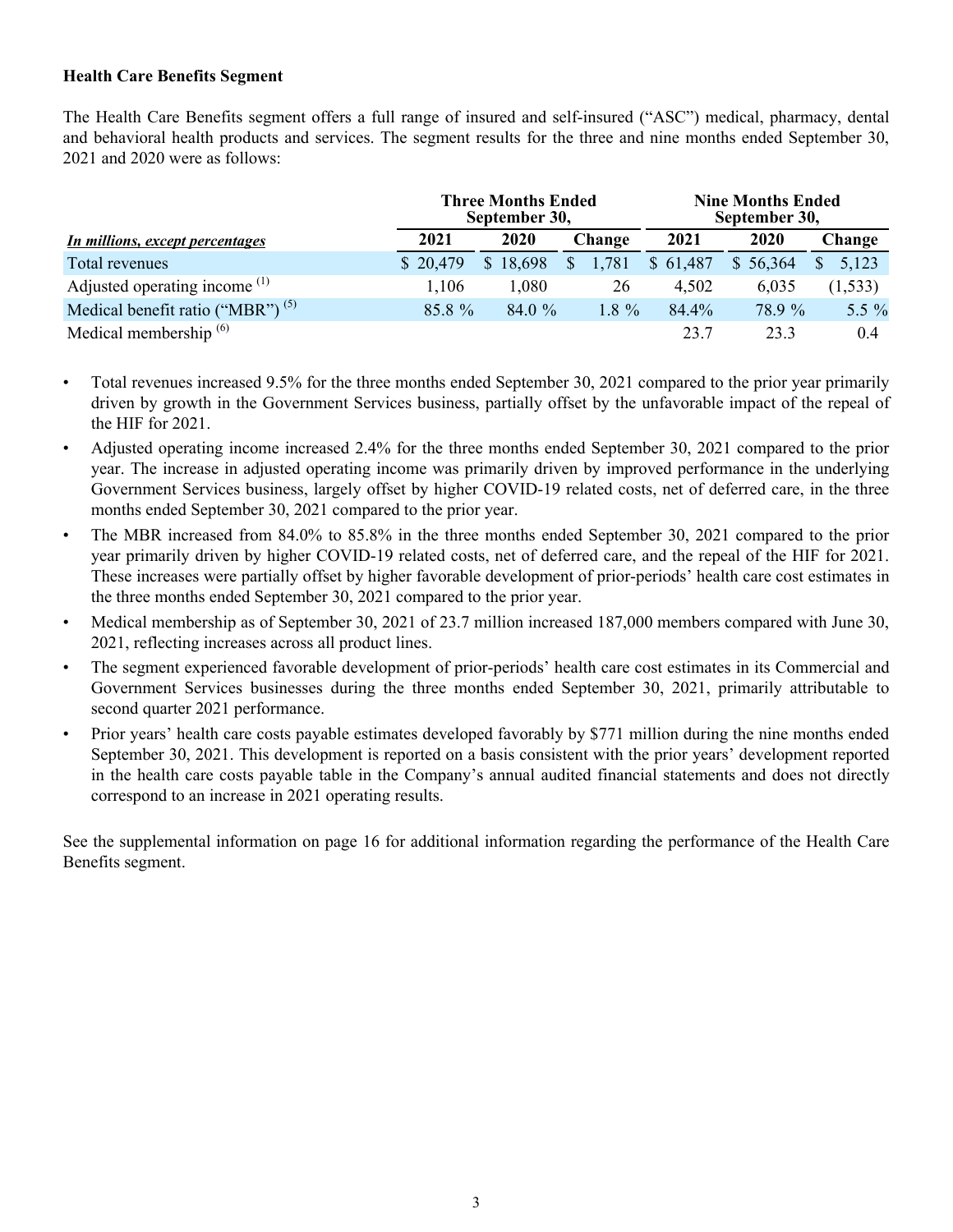## **Health Care Benefits Segment**

The Health Care Benefits segment offers a full range of insured and self-insured ("ASC") medical, pharmacy, dental and behavioral health products and services. The segment results for the three and nine months ended September 30, 2021 and 2020 were as follows:

|                                          |          | <b>Three Months Ended</b><br>September 30, |                       | <b>Nine Months Ended</b><br>September 30, |          |          |  |  |
|------------------------------------------|----------|--------------------------------------------|-----------------------|-------------------------------------------|----------|----------|--|--|
| In millions, except percentages          | 2021     | 2020                                       | Change                | 2021                                      | 2020     | Change   |  |  |
| Total revenues                           | \$20,479 | \$18,698                                   | 1,781<br>$\mathbb{S}$ | \$61,487                                  | \$56,364 | 5,123    |  |  |
| Adjusted operating income <sup>(1)</sup> | 1,106    | 1,080                                      | 26                    | 4,502                                     | 6,035    | (1, 533) |  |  |
| Medical benefit ratio ("MBR") $(5)$      | 85.8 %   | 84.0 $\%$                                  | $1.8 \%$              | 84.4%                                     | 78.9 %   | 5.5 $\%$ |  |  |
| Medical membership $^{(6)}$              |          |                                            |                       | 23.7                                      | 23.3     | 0.4      |  |  |

- Total revenues increased 9.5% for the three months ended September 30, 2021 compared to the prior year primarily driven by growth in the Government Services business, partially offset by the unfavorable impact of the repeal of the HIF for 2021.
- Adjusted operating income increased 2.4% for the three months ended September 30, 2021 compared to the prior year. The increase in adjusted operating income was primarily driven by improved performance in the underlying Government Services business, largely offset by higher COVID-19 related costs, net of deferred care, in the three months ended September 30, 2021 compared to the prior year.
- The MBR increased from 84.0% to 85.8% in the three months ended September 30, 2021 compared to the prior year primarily driven by higher COVID-19 related costs, net of deferred care, and the repeal of the HIF for 2021. These increases were partially offset by higher favorable development of prior-periods' health care cost estimates in the three months ended September 30, 2021 compared to the prior year.
- Medical membership as of September 30, 2021 of 23.7 million increased 187,000 members compared with June 30, 2021, reflecting increases across all product lines.
- The segment experienced favorable development of prior-periods' health care cost estimates in its Commercial and Government Services businesses during the three months ended September 30, 2021, primarily attributable to second quarter 2021 performance.
- Prior years' health care costs payable estimates developed favorably by \$771 million during the nine months ended September 30, 2021. This development is reported on a basis consistent with the prior years' development reported in the health care costs payable table in the Company's annual audited financial statements and does not directly correspond to an increase in 2021 operating results.

See the supplemental information on page 16 for additional information regarding the performance of the Health Care Benefits segment.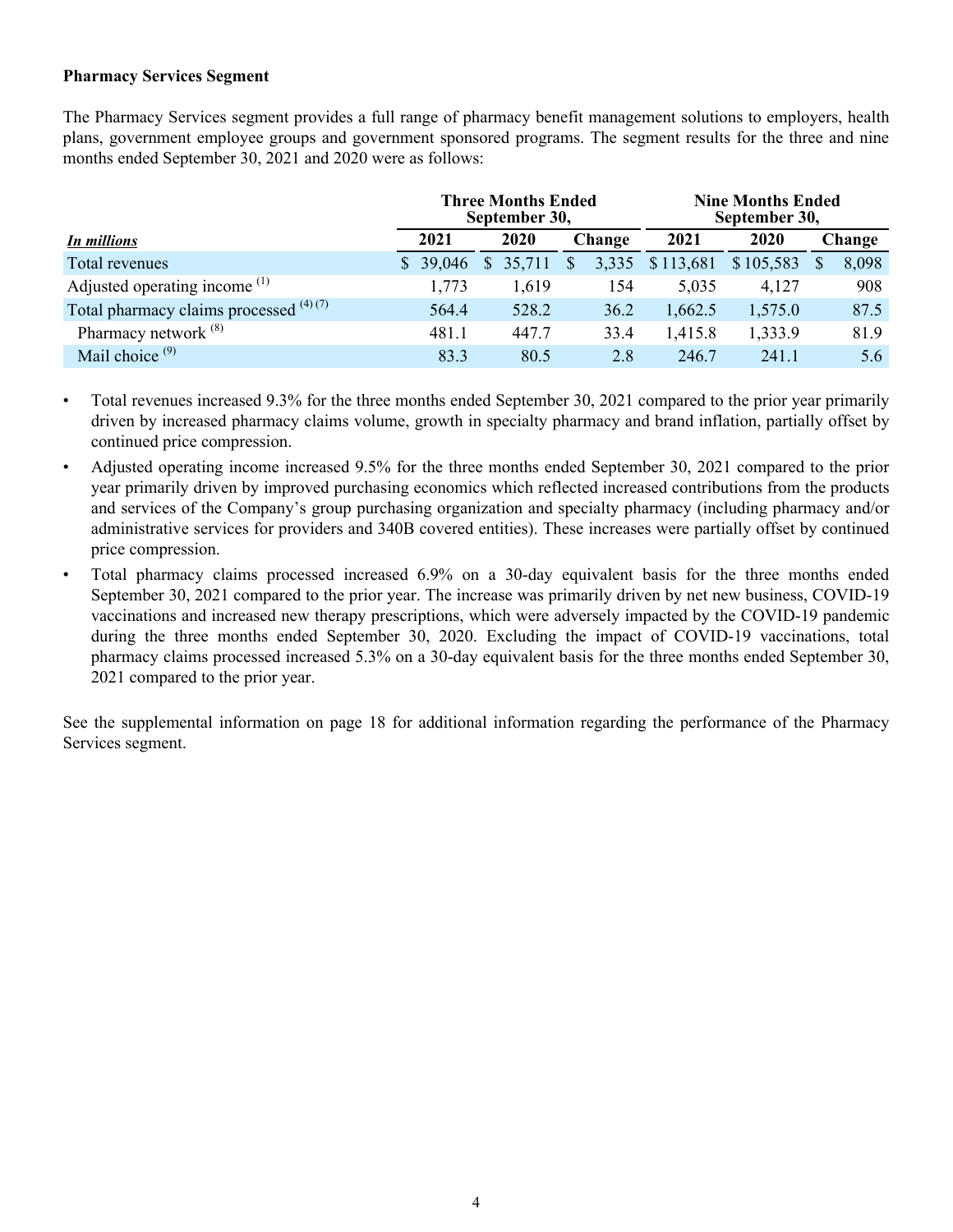## **Pharmacy Services Segment**

The Pharmacy Services segment provides a full range of pharmacy benefit management solutions to employers, health plans, government employee groups and government sponsored programs. The segment results for the three and nine months ended September 30, 2021 and 2020 were as follows:

|                                          |          | <b>Three Months Ended</b><br>September 30, |        | <b>Nine Months Ended</b><br>September 30, |           |        |  |  |
|------------------------------------------|----------|--------------------------------------------|--------|-------------------------------------------|-----------|--------|--|--|
| In millions                              | 2021     | 2020                                       | Change | 2021                                      | 2020      | Change |  |  |
| Total revenues                           | \$39,046 | 35,711                                     | 3,335  | \$113,681                                 | \$105,583 | 8,098  |  |  |
| Adjusted operating income <sup>(1)</sup> | 1,773    | 1,619                                      | 154    | 5.035                                     | 4,127     | 908    |  |  |
| Total pharmacy claims processed $(4)(7)$ | 564.4    | 528.2                                      | 36.2   | 1,662.5                                   | 1,575.0   | 87.5   |  |  |
| Pharmacy network <sup>(8)</sup>          | 481.1    | 447.7                                      | 33.4   | 1,415.8                                   | 1,333.9   | 81.9   |  |  |
| Mail choice $(9)$                        | 83.3     | 80.5                                       | 2.8    | 246.7                                     | 241.1     | 5.6    |  |  |

• Total revenues increased 9.3% for the three months ended September 30, 2021 compared to the prior year primarily driven by increased pharmacy claims volume, growth in specialty pharmacy and brand inflation, partially offset by continued price compression.

- Adjusted operating income increased 9.5% for the three months ended September 30, 2021 compared to the prior year primarily driven by improved purchasing economics which reflected increased contributions from the products and services of the Company's group purchasing organization and specialty pharmacy (including pharmacy and/or administrative services for providers and 340B covered entities). These increases were partially offset by continued price compression.
- Total pharmacy claims processed increased 6.9% on a 30-day equivalent basis for the three months ended September 30, 2021 compared to the prior year. The increase was primarily driven by net new business, COVID-19 vaccinations and increased new therapy prescriptions, which were adversely impacted by the COVID-19 pandemic during the three months ended September 30, 2020. Excluding the impact of COVID-19 vaccinations, total pharmacy claims processed increased 5.3% on a 30-day equivalent basis for the three months ended September 30, 2021 compared to the prior year.

See the supplemental information on page 18 for additional information regarding the performance of the Pharmacy Services segment.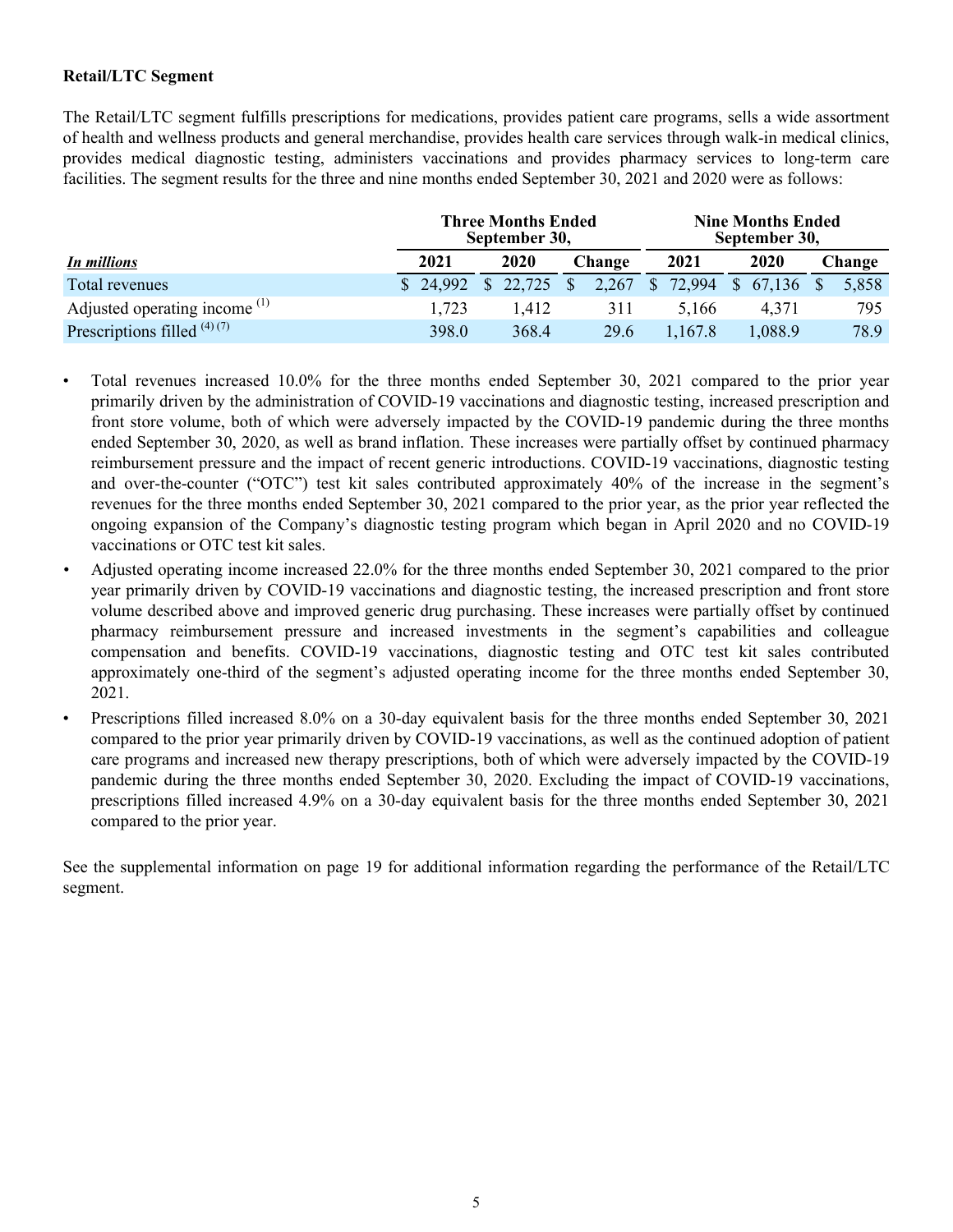#### **Retail/LTC Segment**

The Retail/LTC segment fulfills prescriptions for medications, provides patient care programs, sells a wide assortment of health and wellness products and general merchandise, provides health care services through walk-in medical clinics, provides medical diagnostic testing, administers vaccinations and provides pharmacy services to long-term care facilities. The segment results for the three and nine months ended September 30, 2021 and 2020 were as follows:

|                                          |          | <b>Three Months Ended</b><br>September 30, |        | <b>Nine Months Ended</b><br>September 30, |                     |        |  |  |  |
|------------------------------------------|----------|--------------------------------------------|--------|-------------------------------------------|---------------------|--------|--|--|--|
| <b>In millions</b>                       | 2021     | 2020                                       | Change | 2021                                      | 2020                | Change |  |  |  |
| Total revenues                           | \$24.992 | $$22,725$ \$                               | 2,267  |                                           | $$72,994$ $$67,136$ | 5,858  |  |  |  |
| Adjusted operating income <sup>(1)</sup> | 1.723    | 1.412                                      | 311    | 5.166                                     | 4.371               | 795    |  |  |  |
| Prescriptions filled $(4)(7)$            | 398.0    | 368.4                                      | 29.6   | 1,167.8                                   | 1,088.9             | 78.9   |  |  |  |

- Total revenues increased 10.0% for the three months ended September 30, 2021 compared to the prior year primarily driven by the administration of COVID-19 vaccinations and diagnostic testing, increased prescription and front store volume, both of which were adversely impacted by the COVID-19 pandemic during the three months ended September 30, 2020, as well as brand inflation. These increases were partially offset by continued pharmacy reimbursement pressure and the impact of recent generic introductions. COVID-19 vaccinations, diagnostic testing and over-the-counter ("OTC") test kit sales contributed approximately 40% of the increase in the segment's revenues for the three months ended September 30, 2021 compared to the prior year, as the prior year reflected the ongoing expansion of the Company's diagnostic testing program which began in April 2020 and no COVID-19 vaccinations or OTC test kit sales.
- *•* Adjusted operating income increased 22.0% for the three months ended September 30, 2021 compared to the prior year primarily driven by COVID-19 vaccinations and diagnostic testing, the increased prescription and front store volume described above and improved generic drug purchasing. These increases were partially offset by continued pharmacy reimbursement pressure and increased investments in the segment's capabilities and colleague compensation and benefits. COVID-19 vaccinations, diagnostic testing and OTC test kit sales contributed approximately one-third of the segment's adjusted operating income for the three months ended September 30, 2021.
- Prescriptions filled increased 8.0% on a 30-day equivalent basis for the three months ended September 30, 2021 compared to the prior year primarily driven by COVID-19 vaccinations, as well as the continued adoption of patient care programs and increased new therapy prescriptions, both of which were adversely impacted by the COVID-19 pandemic during the three months ended September 30, 2020. Excluding the impact of COVID-19 vaccinations, prescriptions filled increased 4.9% on a 30-day equivalent basis for the three months ended September 30, 2021 compared to the prior year.

See the supplemental information on page 19 for additional information regarding the performance of the Retail/LTC segment.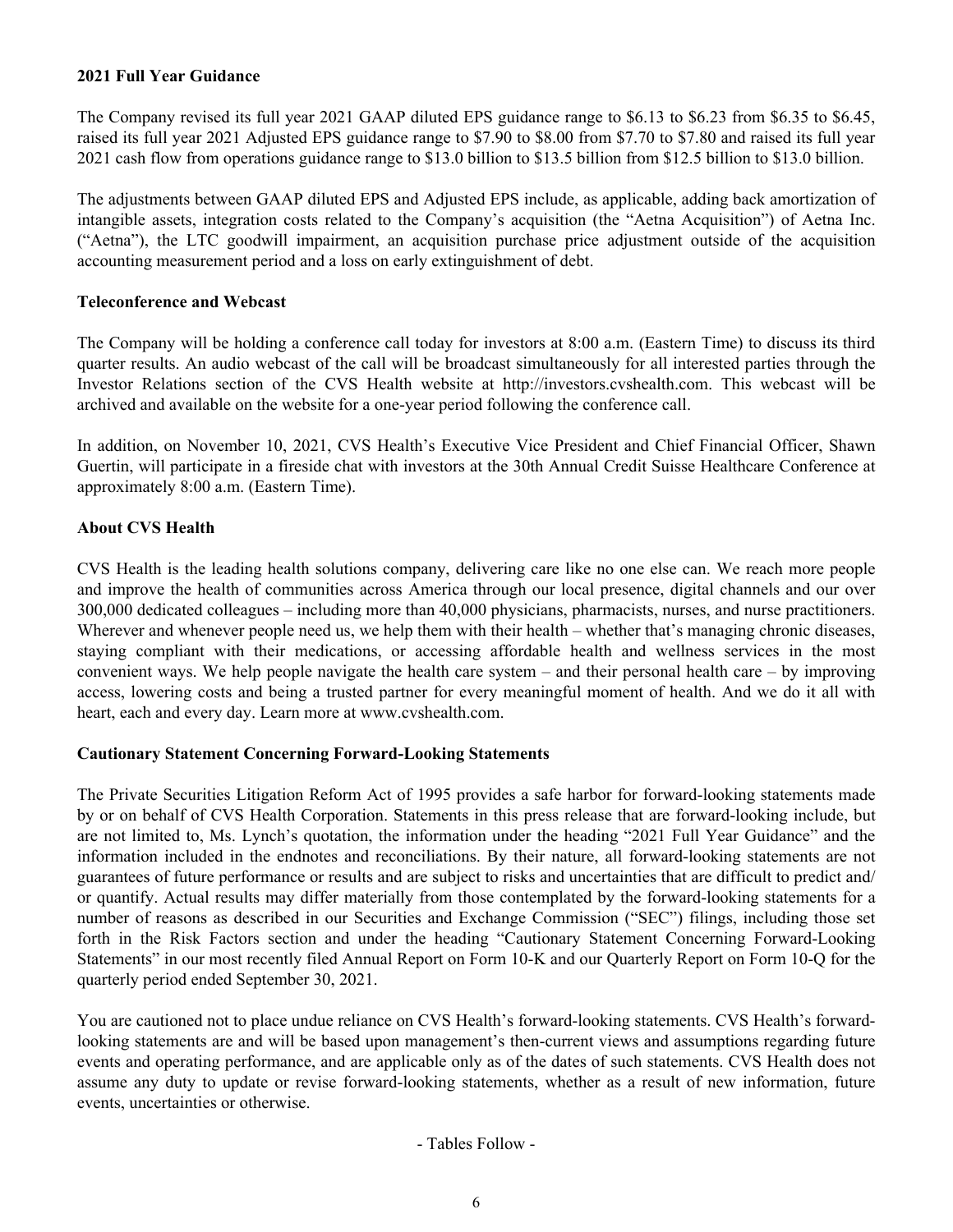## **2021 Full Year Guidance**

The Company revised its full year 2021 GAAP diluted EPS guidance range to \$6.13 to \$6.23 from \$6.35 to \$6.45, raised its full year 2021 Adjusted EPS guidance range to \$7.90 to \$8.00 from \$7.70 to \$7.80 and raised its full year 2021 cash flow from operations guidance range to \$13.0 billion to \$13.5 billion from \$12.5 billion to \$13.0 billion.

The adjustments between GAAP diluted EPS and Adjusted EPS include, as applicable, adding back amortization of intangible assets, integration costs related to the Company's acquisition (the "Aetna Acquisition") of Aetna Inc. ("Aetna"), the LTC goodwill impairment, an acquisition purchase price adjustment outside of the acquisition accounting measurement period and a loss on early extinguishment of debt.

#### **Teleconference and Webcast**

The Company will be holding a conference call today for investors at 8:00 a.m. (Eastern Time) to discuss its third quarter results. An audio webcast of the call will be broadcast simultaneously for all interested parties through the Investor Relations section of the CVS Health website at <http://investors.cvshealth.com>. This webcast will be archived and available on the website for a one-year period following the conference call.

In addition, on November 10, 2021, CVS Health's Executive Vice President and Chief Financial Officer, Shawn Guertin, will participate in a fireside chat with investors at the 30th Annual Credit Suisse Healthcare Conference at approximately 8:00 a.m. (Eastern Time).

## **About CVS Health**

CVS Health is the leading health solutions company, delivering care like no one else can. We reach more people and improve the health of communities across America through our local presence, digital channels and our over 300,000 dedicated colleagues – including more than 40,000 physicians, pharmacists, nurses, and nurse practitioners. Wherever and whenever people need us, we help them with their health – whether that's managing chronic diseases, staying compliant with their medications, or accessing affordable health and wellness services in the most convenient ways. We help people navigate the health care system – and their personal health care – by improving access, lowering costs and being a trusted partner for every meaningful moment of health. And we do it all with heart, each and every day. Learn more at [www.cvshealth.com](http://www.cvshealth.com).

#### **Cautionary Statement Concerning Forward-Looking Statements**

The Private Securities Litigation Reform Act of 1995 provides a safe harbor for forward-looking statements made by or on behalf of CVS Health Corporation. Statements in this press release that are forward-looking include, but are not limited to, Ms. Lynch's quotation, the information under the heading "2021 Full Year Guidance" and the information included in the endnotes and reconciliations. By their nature, all forward-looking statements are not guarantees of future performance or results and are subject to risks and uncertainties that are difficult to predict and/ or quantify. Actual results may differ materially from those contemplated by the forward-looking statements for a number of reasons as described in our Securities and Exchange Commission ("SEC") filings, including those set forth in the Risk Factors section and under the heading "Cautionary Statement Concerning Forward-Looking Statements" in our most recently filed Annual Report on Form 10-K and our Quarterly Report on Form 10-Q for the quarterly period ended September 30, 2021.

You are cautioned not to place undue reliance on CVS Health's forward-looking statements. CVS Health's forwardlooking statements are and will be based upon management's then-current views and assumptions regarding future events and operating performance, and are applicable only as of the dates of such statements. CVS Health does not assume any duty to update or revise forward-looking statements, whether as a result of new information, future events, uncertainties or otherwise.

- Tables Follow -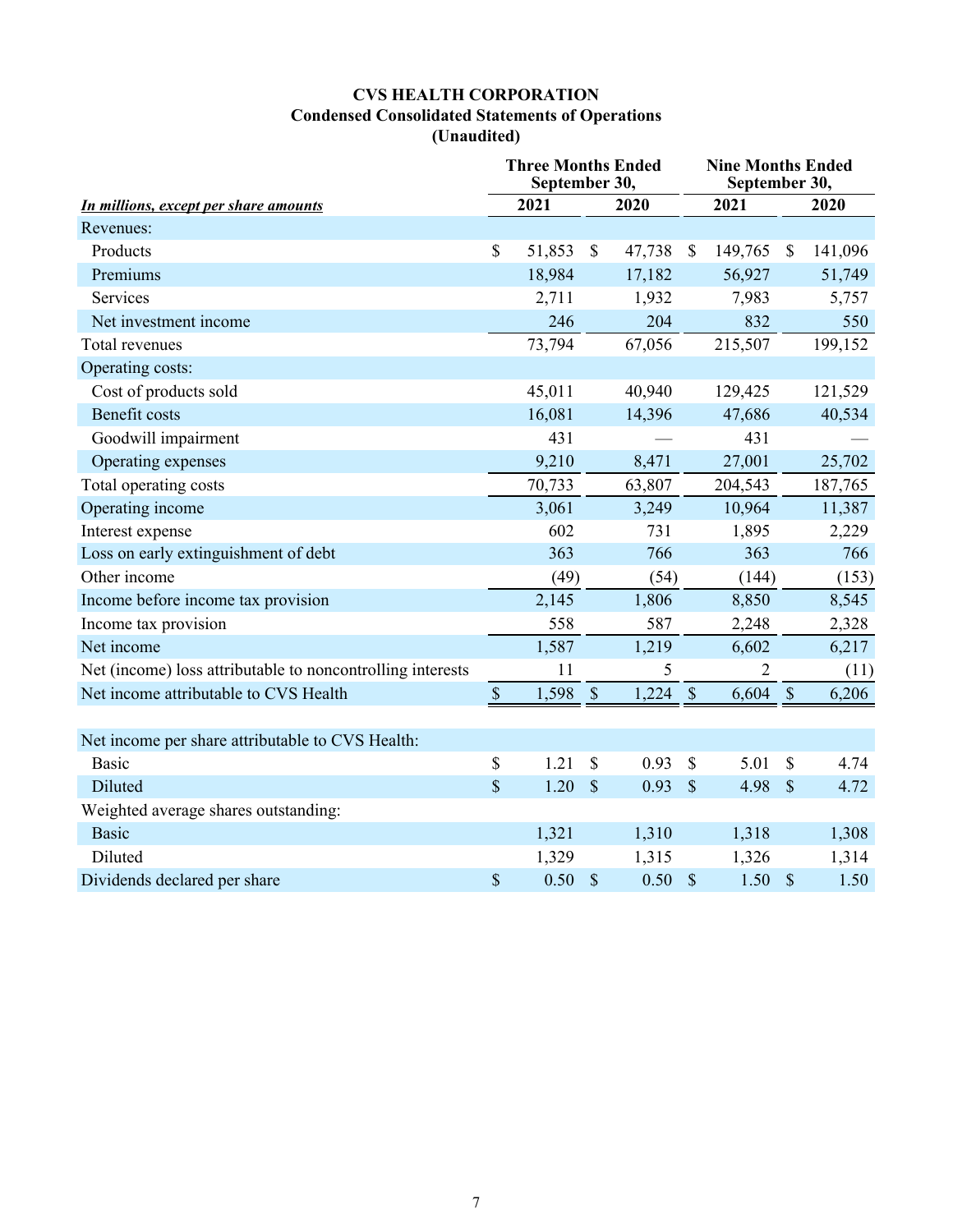## **CVS HEALTH CORPORATION Condensed Consolidated Statements of Operations (Unaudited)**

|                                                            |               | <b>Three Months Ended</b><br>September 30, |                    |        |               | <b>Nine Months Ended</b><br>September 30, |                           |         |
|------------------------------------------------------------|---------------|--------------------------------------------|--------------------|--------|---------------|-------------------------------------------|---------------------------|---------|
| In millions, except per share amounts                      |               | 2021                                       |                    | 2020   |               | 2021                                      |                           | 2020    |
| Revenues:                                                  |               |                                            |                    |        |               |                                           |                           |         |
| Products                                                   | \$            | 51,853                                     | $\mathbb{S}$       | 47,738 | \$            | 149,765                                   | $\mathbb{S}$              | 141,096 |
| Premiums                                                   |               | 18,984                                     |                    | 17,182 |               | 56,927                                    |                           | 51,749  |
| Services                                                   |               | 2,711                                      |                    | 1,932  |               | 7,983                                     |                           | 5,757   |
| Net investment income                                      |               | 246                                        |                    | 204    |               | 832                                       |                           | 550     |
| Total revenues                                             |               | 73,794                                     |                    | 67,056 |               | 215,507                                   |                           | 199,152 |
| Operating costs:                                           |               |                                            |                    |        |               |                                           |                           |         |
| Cost of products sold                                      |               | 45,011                                     |                    | 40,940 |               | 129,425                                   |                           | 121,529 |
| Benefit costs                                              |               | 16,081                                     |                    | 14,396 |               | 47,686                                    |                           | 40,534  |
| Goodwill impairment                                        |               | 431                                        |                    |        |               | 431                                       |                           |         |
| Operating expenses                                         |               | 9,210                                      |                    | 8,471  |               | 27,001                                    |                           | 25,702  |
| Total operating costs                                      |               | 70,733                                     |                    | 63,807 |               | 204,543                                   |                           | 187,765 |
| Operating income                                           |               | 3,061                                      |                    | 3,249  |               | 10,964                                    |                           | 11,387  |
| Interest expense                                           |               | 602                                        |                    | 731    |               | 1,895                                     |                           | 2,229   |
| Loss on early extinguishment of debt                       |               | 363                                        |                    | 766    |               | 363                                       |                           | 766     |
| Other income                                               |               | (49)                                       |                    | (54)   |               | (144)                                     |                           | (153)   |
| Income before income tax provision                         |               | 2,145                                      |                    | 1,806  |               | 8,850                                     |                           | 8,545   |
| Income tax provision                                       |               | 558                                        |                    | 587    |               | 2,248                                     |                           | 2,328   |
| Net income                                                 |               | 1,587                                      |                    | 1,219  |               | 6,602                                     |                           | 6,217   |
| Net (income) loss attributable to noncontrolling interests |               | 11                                         |                    | 5      |               | $\overline{2}$                            |                           | (11)    |
| Net income attributable to CVS Health                      | $\mathcal{S}$ | 1,598                                      | $\mathbf{\hat{s}}$ | 1,224  | $\sqrt{\ }$   | 6,604                                     | $\mathcal{S}$             | 6,206   |
|                                                            |               |                                            |                    |        |               |                                           |                           |         |
| Net income per share attributable to CVS Health:           |               |                                            |                    |        |               |                                           |                           |         |
| <b>Basic</b>                                               | \$            | 1.21                                       | $\mathbf S$        | 0.93   | $\mathbb{S}$  | 5.01                                      | $\mathcal{S}$             | 4.74    |
| Diluted                                                    | \$            | 1.20                                       | $\mathcal{S}$      | 0.93   | $\mathcal{S}$ | 4.98                                      | $\mathcal{S}$             | 4.72    |
| Weighted average shares outstanding:                       |               |                                            |                    |        |               |                                           |                           |         |
| <b>Basic</b>                                               |               | 1,321                                      |                    | 1,310  |               | 1,318                                     |                           | 1,308   |
| Diluted                                                    |               | 1,329                                      |                    | 1,315  |               | 1,326                                     |                           | 1,314   |
| Dividends declared per share                               | \$            | 0.50                                       | \$                 | 0.50   | \$            | 1.50                                      | $\boldsymbol{\mathsf{S}}$ | 1.50    |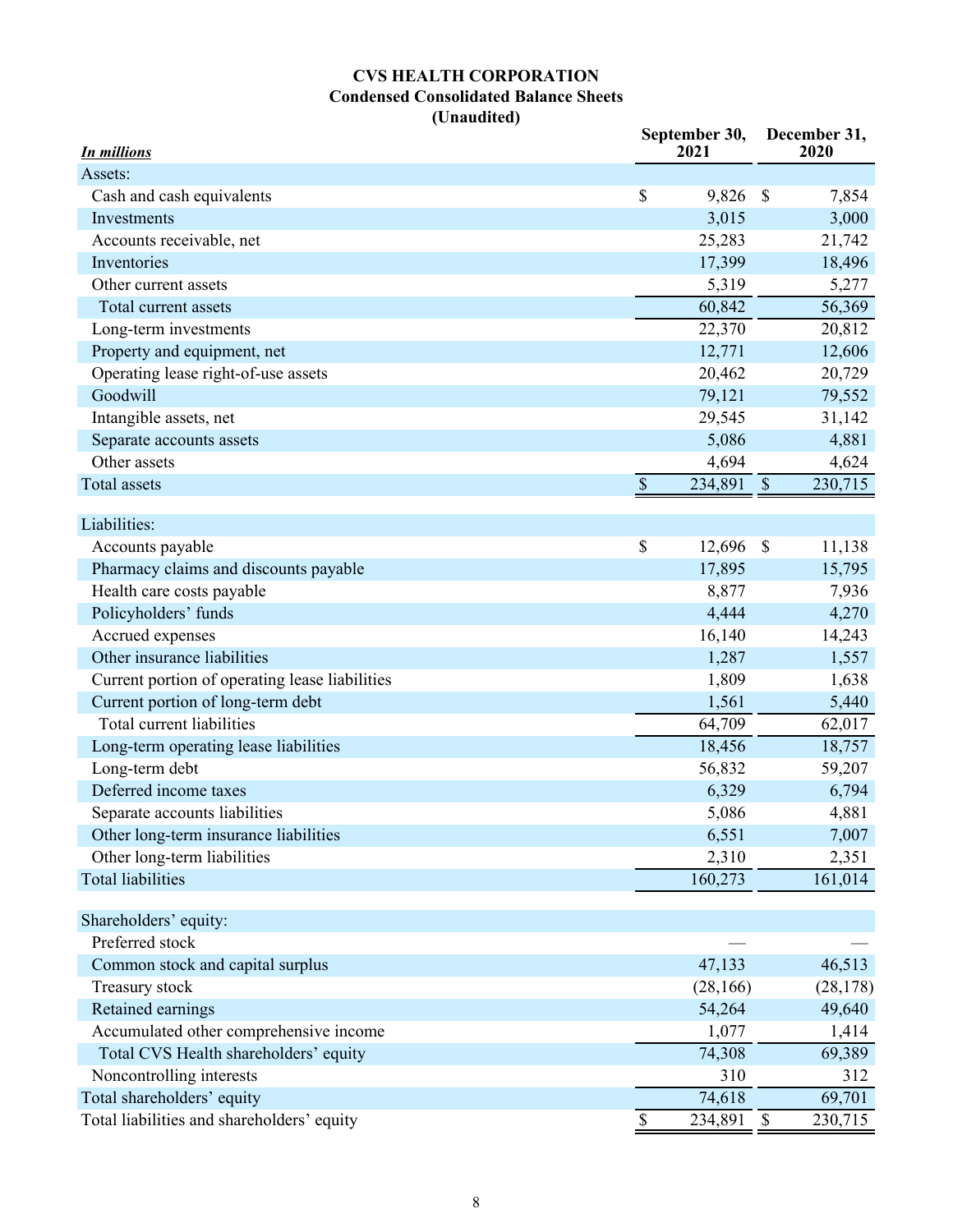# **CVS HEALTH CORPORATION Condensed Consolidated Balance Sheets (Unaudited)**

| <b>In millions</b>                                   |                           | September 30,<br>2021 |                           | December 31,<br>2020 |
|------------------------------------------------------|---------------------------|-----------------------|---------------------------|----------------------|
| Assets:                                              |                           |                       |                           |                      |
| Cash and cash equivalents                            | \$                        | 9,826                 | $\mathcal{S}$             | 7,854                |
| Investments                                          |                           | 3,015                 |                           | 3,000                |
| Accounts receivable, net                             |                           | 25,283                |                           | 21,742               |
| Inventories                                          |                           | 17,399                |                           | 18,496               |
| Other current assets                                 |                           | 5,319                 |                           | 5,277                |
| Total current assets                                 |                           | 60,842                |                           | 56,369               |
|                                                      |                           | 22,370                |                           | 20,812               |
| Long-term investments<br>Property and equipment, net |                           | 12,771                |                           | 12,606               |
|                                                      |                           |                       |                           |                      |
| Operating lease right-of-use assets<br>Goodwill      |                           | 20,462                |                           | 20,729               |
|                                                      |                           | 79,121                |                           | 79,552               |
| Intangible assets, net                               |                           | 29,545                |                           | 31,142               |
| Separate accounts assets                             |                           | 5,086                 |                           | 4,881                |
| Other assets                                         |                           | 4,694                 |                           | 4,624                |
| <b>Total assets</b>                                  | $\boldsymbol{\mathsf{S}}$ | 234,891               | $\boldsymbol{\mathsf{S}}$ | 230,715              |
| Liabilities:                                         |                           |                       |                           |                      |
| Accounts payable                                     | \$                        | 12,696                | $\mathcal{S}$             | 11,138               |
| Pharmacy claims and discounts payable                |                           | 17,895                |                           | 15,795               |
| Health care costs payable                            |                           | 8,877                 |                           | 7,936                |
| Policyholders' funds                                 |                           | 4,444                 |                           | 4,270                |
| Accrued expenses                                     |                           | 16,140                |                           | 14,243               |
| Other insurance liabilities                          |                           | 1,287                 |                           | 1,557                |
| Current portion of operating lease liabilities       |                           | 1,809                 |                           | 1,638                |
| Current portion of long-term debt                    |                           | 1,561                 |                           | 5,440                |
| Total current liabilities                            |                           | 64,709                |                           | 62,017               |
| Long-term operating lease liabilities                |                           | 18,456                |                           | 18,757               |
| Long-term debt                                       |                           | 56,832                |                           | 59,207               |
| Deferred income taxes                                |                           | 6,329                 |                           | 6,794                |
| Separate accounts liabilities                        |                           | 5,086                 |                           | 4,881                |
| Other long-term insurance liabilities                |                           | 6,551                 |                           | 7,007                |
| Other long-term liabilities                          |                           | 2,310                 |                           | 2,351                |
| <b>Total liabilities</b>                             |                           | 160,273               |                           | 161,014              |
|                                                      |                           |                       |                           |                      |
| Shareholders' equity:                                |                           |                       |                           |                      |
| Preferred stock                                      |                           |                       |                           |                      |
| Common stock and capital surplus                     |                           | 47,133                |                           | 46,513               |
| Treasury stock                                       |                           | (28, 166)             |                           | (28, 178)            |
| Retained earnings                                    |                           | 54,264                |                           | 49,640               |
| Accumulated other comprehensive income               |                           | 1,077                 |                           | 1,414                |
| Total CVS Health shareholders' equity                |                           | 74,308                |                           | 69,389               |
| Noncontrolling interests                             |                           | 310                   |                           | 312                  |
| Total shareholders' equity                           |                           | 74,618                |                           | 69,701               |
| Total liabilities and shareholders' equity           | $\boldsymbol{\mathsf{S}}$ | 234,891               | \$                        | 230,715              |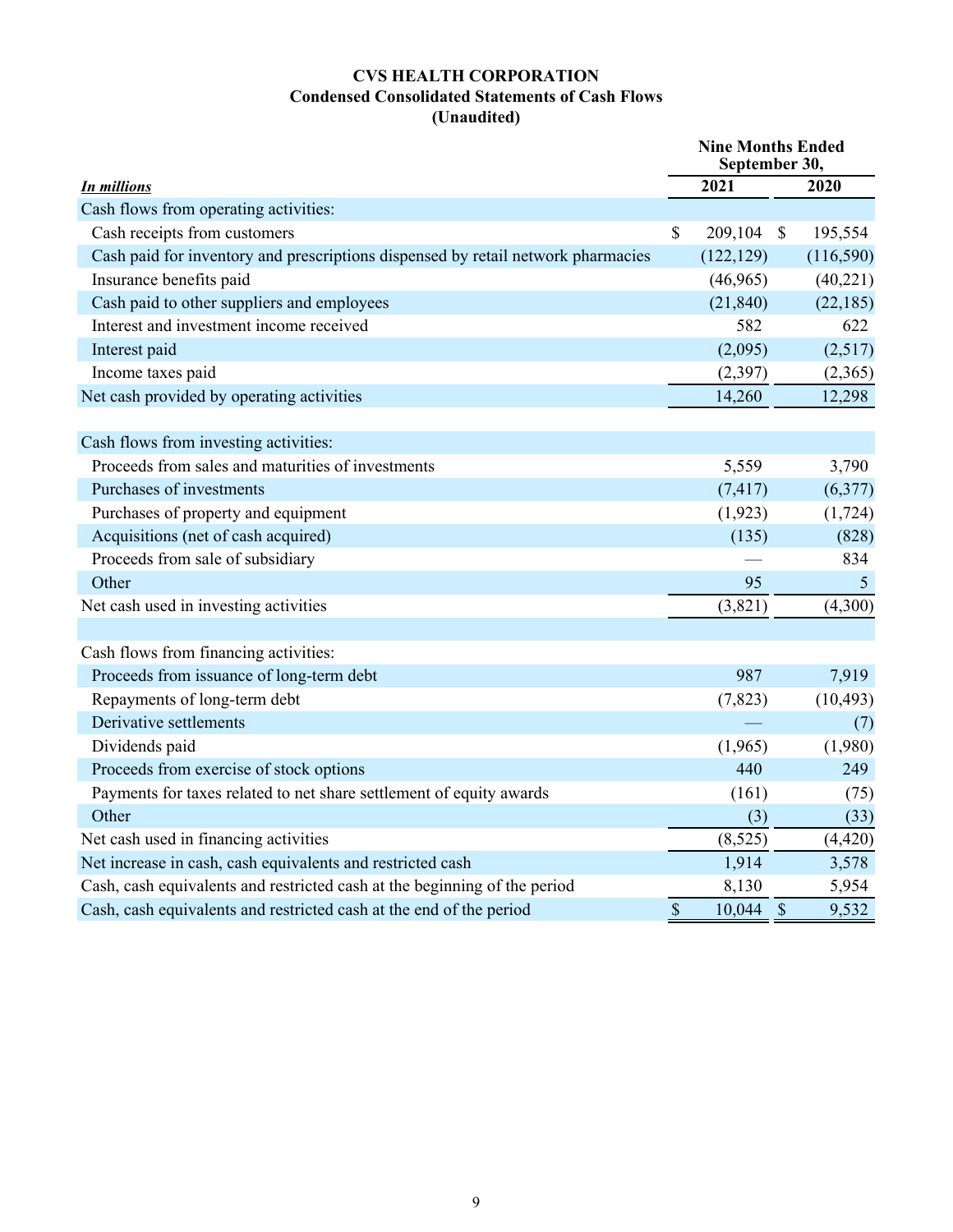## **CVS HEALTH CORPORATION Condensed Consolidated Statements of Cash Flows (Unaudited)**

|                                                                                  |                           | <b>Nine Months Ended</b><br>September 30, |                           |                |
|----------------------------------------------------------------------------------|---------------------------|-------------------------------------------|---------------------------|----------------|
| <b>In millions</b>                                                               |                           | 2021                                      |                           | 2020           |
| Cash flows from operating activities:                                            |                           |                                           |                           |                |
| Cash receipts from customers                                                     | \$                        | 209,104                                   | $\mathcal{S}$             | 195,554        |
| Cash paid for inventory and prescriptions dispensed by retail network pharmacies |                           | (122, 129)                                |                           | (116, 590)     |
| Insurance benefits paid                                                          |                           | (46,965)                                  |                           | (40, 221)      |
| Cash paid to other suppliers and employees                                       |                           | (21, 840)                                 |                           | (22, 185)      |
| Interest and investment income received                                          |                           | 582                                       |                           | 622            |
| Interest paid                                                                    |                           | (2,095)                                   |                           | (2,517)        |
| Income taxes paid                                                                |                           | (2,397)                                   |                           | (2,365)        |
| Net cash provided by operating activities                                        |                           | 14,260                                    |                           | 12,298         |
|                                                                                  |                           |                                           |                           |                |
| Cash flows from investing activities:                                            |                           |                                           |                           |                |
| Proceeds from sales and maturities of investments                                |                           | 5,559                                     |                           | 3,790          |
| Purchases of investments                                                         |                           | (7, 417)                                  |                           | (6,377)        |
| Purchases of property and equipment                                              |                           | (1, 923)                                  |                           | (1, 724)       |
| Acquisitions (net of cash acquired)                                              |                           | (135)                                     |                           | (828)          |
| Proceeds from sale of subsidiary                                                 |                           |                                           |                           | 834            |
| Other                                                                            |                           | 95                                        |                           | 5 <sup>5</sup> |
| Net cash used in investing activities                                            |                           | (3,821)                                   |                           | (4,300)        |
|                                                                                  |                           |                                           |                           |                |
| Cash flows from financing activities:                                            |                           |                                           |                           |                |
| Proceeds from issuance of long-term debt                                         |                           | 987                                       |                           | 7,919          |
| Repayments of long-term debt                                                     |                           | (7, 823)                                  |                           | (10, 493)      |
| Derivative settlements                                                           |                           |                                           |                           | (7)            |
| Dividends paid                                                                   |                           | (1,965)                                   |                           | (1,980)        |
| Proceeds from exercise of stock options                                          |                           | 440                                       |                           | 249            |
| Payments for taxes related to net share settlement of equity awards              |                           | (161)                                     |                           | (75)           |
| Other                                                                            |                           | (3)                                       |                           | (33)           |
| Net cash used in financing activities                                            |                           | (8, 525)                                  |                           | (4, 420)       |
| Net increase in cash, cash equivalents and restricted cash                       |                           | 1,914                                     |                           | 3,578          |
| Cash, cash equivalents and restricted cash at the beginning of the period        |                           | 8,130                                     |                           | 5,954          |
| Cash, cash equivalents and restricted cash at the end of the period              | $\boldsymbol{\mathsf{S}}$ | 10,044                                    | $\boldsymbol{\mathsf{S}}$ | 9,532          |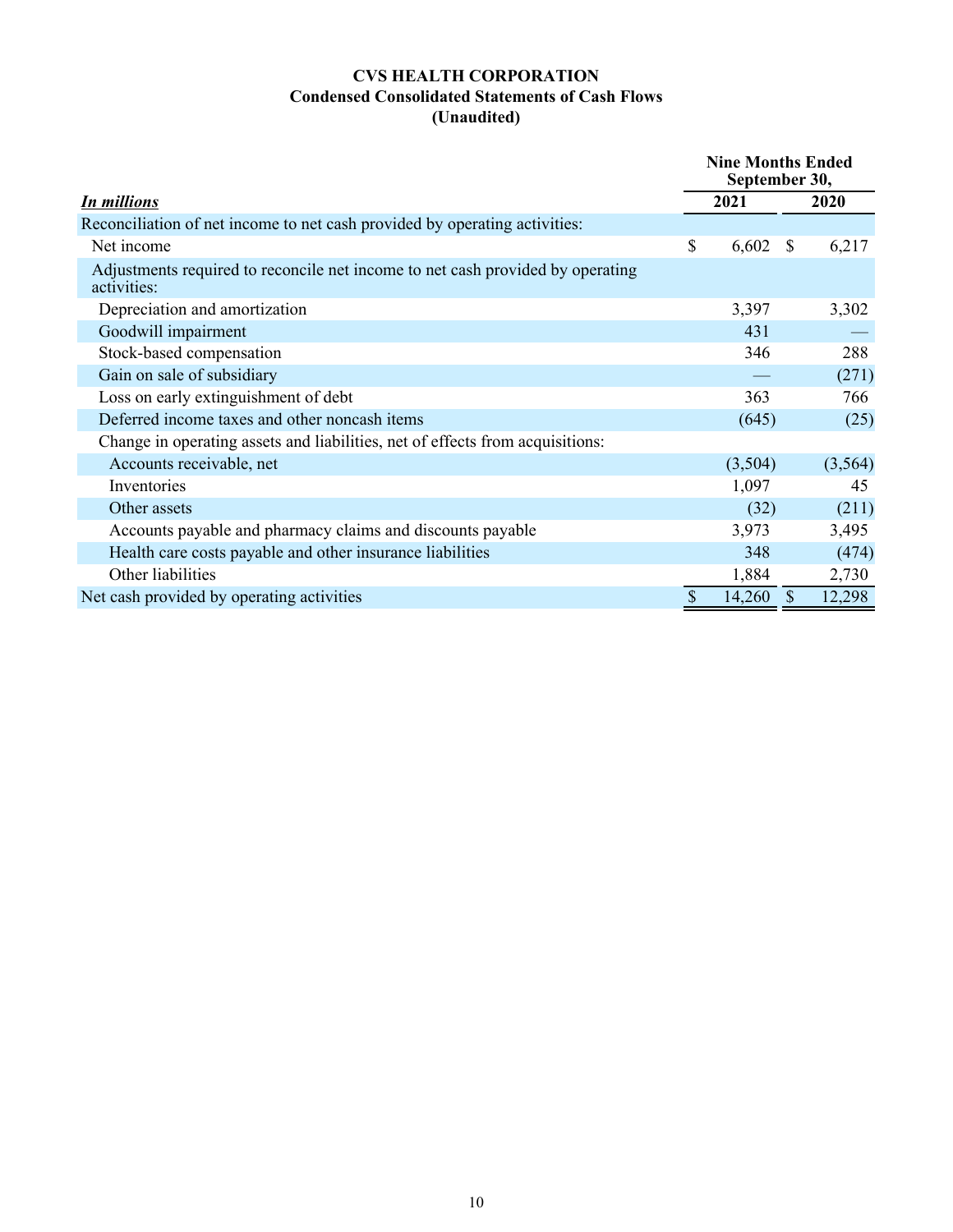# **CVS HEALTH CORPORATION Condensed Consolidated Statements of Cash Flows (Unaudited)**

|                                                                                               | <b>Nine Months Ended</b><br>September 30, |               |         |
|-----------------------------------------------------------------------------------------------|-------------------------------------------|---------------|---------|
| In millions                                                                                   | 2021                                      |               | 2020    |
| Reconciliation of net income to net cash provided by operating activities:                    |                                           |               |         |
| Net income                                                                                    | \$<br>6,602                               | <sup>\$</sup> | 6,217   |
| Adjustments required to reconcile net income to net cash provided by operating<br>activities: |                                           |               |         |
| Depreciation and amortization                                                                 | 3,397                                     |               | 3,302   |
| Goodwill impairment                                                                           | 431                                       |               |         |
| Stock-based compensation                                                                      | 346                                       |               | 288     |
| Gain on sale of subsidiary                                                                    |                                           |               | (271)   |
| Loss on early extinguishment of debt                                                          | 363                                       |               | 766     |
| Deferred income taxes and other noncash items                                                 | (645)                                     |               | (25)    |
| Change in operating assets and liabilities, net of effects from acquisitions:                 |                                           |               |         |
| Accounts receivable, net                                                                      | (3,504)                                   |               | (3,564) |
| Inventories                                                                                   | 1,097                                     |               | 45      |
| Other assets                                                                                  | (32)                                      |               | (211)   |
| Accounts payable and pharmacy claims and discounts payable                                    | 3,973                                     |               | 3,495   |
| Health care costs payable and other insurance liabilities                                     | 348                                       |               | (474)   |
| Other liabilities                                                                             | 1,884                                     |               | 2,730   |
| Net cash provided by operating activities                                                     | 14,260                                    | $\mathbb{S}$  | 12,298  |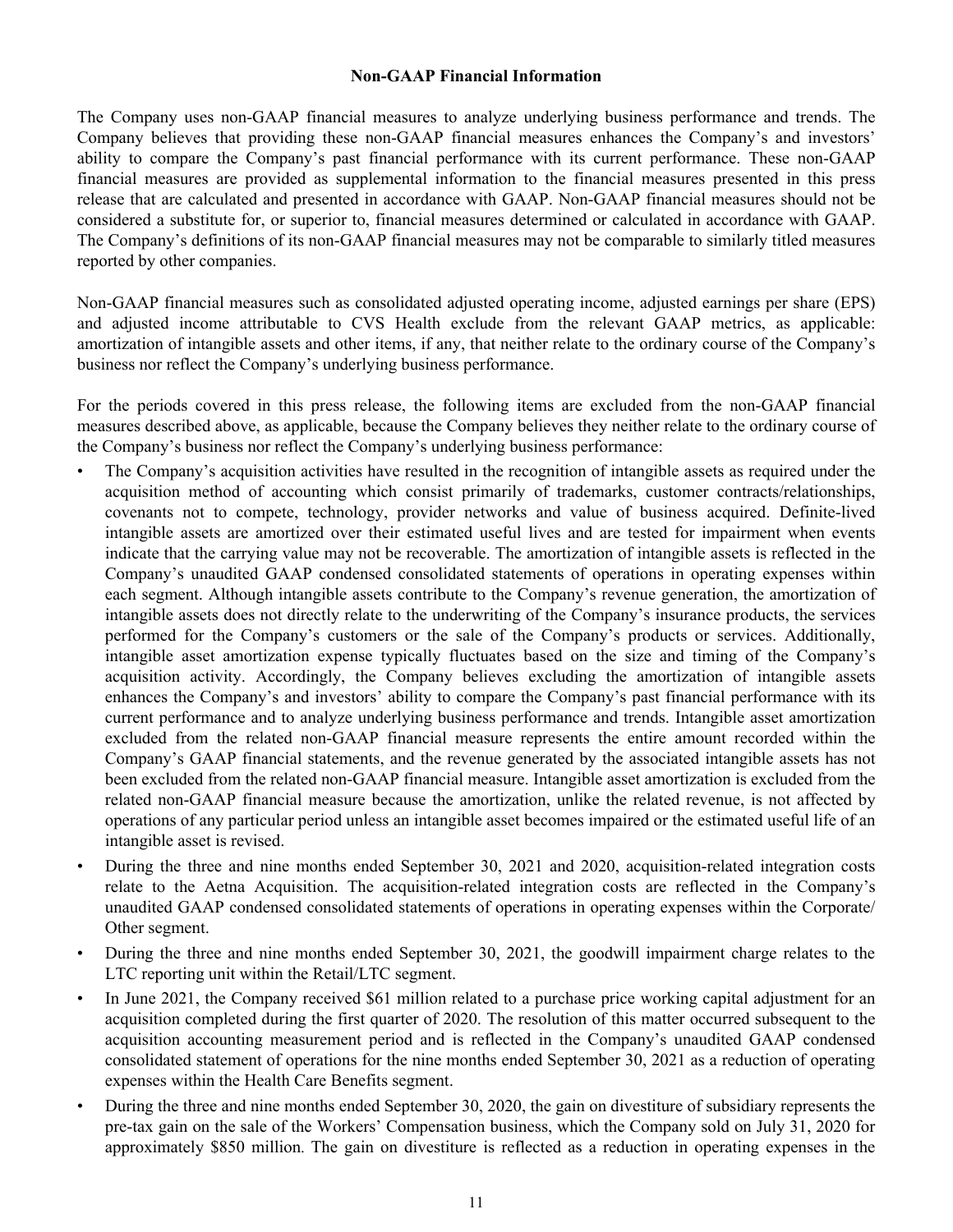#### **Non-GAAP Financial Information**

The Company uses non-GAAP financial measures to analyze underlying business performance and trends. The Company believes that providing these non-GAAP financial measures enhances the Company's and investors' ability to compare the Company's past financial performance with its current performance. These non-GAAP financial measures are provided as supplemental information to the financial measures presented in this press release that are calculated and presented in accordance with GAAP. Non-GAAP financial measures should not be considered a substitute for, or superior to, financial measures determined or calculated in accordance with GAAP. The Company's definitions of its non-GAAP financial measures may not be comparable to similarly titled measures reported by other companies.

Non-GAAP financial measures such as consolidated adjusted operating income, adjusted earnings per share (EPS) and adjusted income attributable to CVS Health exclude from the relevant GAAP metrics, as applicable: amortization of intangible assets and other items, if any, that neither relate to the ordinary course of the Company's business nor reflect the Company's underlying business performance.

For the periods covered in this press release, the following items are excluded from the non-GAAP financial measures described above, as applicable, because the Company believes they neither relate to the ordinary course of the Company's business nor reflect the Company's underlying business performance:

- The Company's acquisition activities have resulted in the recognition of intangible assets as required under the acquisition method of accounting which consist primarily of trademarks, customer contracts/relationships, covenants not to compete, technology, provider networks and value of business acquired. Definite-lived intangible assets are amortized over their estimated useful lives and are tested for impairment when events indicate that the carrying value may not be recoverable. The amortization of intangible assets is reflected in the Company's unaudited GAAP condensed consolidated statements of operations in operating expenses within each segment. Although intangible assets contribute to the Company's revenue generation, the amortization of intangible assets does not directly relate to the underwriting of the Company's insurance products, the services performed for the Company's customers or the sale of the Company's products or services. Additionally, intangible asset amortization expense typically fluctuates based on the size and timing of the Company's acquisition activity. Accordingly, the Company believes excluding the amortization of intangible assets enhances the Company's and investors' ability to compare the Company's past financial performance with its current performance and to analyze underlying business performance and trends. Intangible asset amortization excluded from the related non-GAAP financial measure represents the entire amount recorded within the Company's GAAP financial statements, and the revenue generated by the associated intangible assets has not been excluded from the related non-GAAP financial measure. Intangible asset amortization is excluded from the related non-GAAP financial measure because the amortization, unlike the related revenue, is not affected by operations of any particular period unless an intangible asset becomes impaired or the estimated useful life of an intangible asset is revised.
- During the three and nine months ended September 30, 2021 and 2020, acquisition-related integration costs relate to the Aetna Acquisition. The acquisition-related integration costs are reflected in the Company's unaudited GAAP condensed consolidated statements of operations in operating expenses within the Corporate/ Other segment.
- During the three and nine months ended September 30, 2021, the goodwill impairment charge relates to the LTC reporting unit within the Retail/LTC segment.
- In June 2021, the Company received \$61 million related to a purchase price working capital adjustment for an acquisition completed during the first quarter of 2020. The resolution of this matter occurred subsequent to the acquisition accounting measurement period and is reflected in the Company's unaudited GAAP condensed consolidated statement of operations for the nine months ended September 30, 2021 as a reduction of operating expenses within the Health Care Benefits segment.
- During the three and nine months ended September 30, 2020, the gain on divestiture of subsidiary represents the pre-tax gain on the sale of the Workers' Compensation business, which the Company sold on July 31, 2020 for approximately \$850 million. The gain on divestiture is reflected as a reduction in operating expenses in the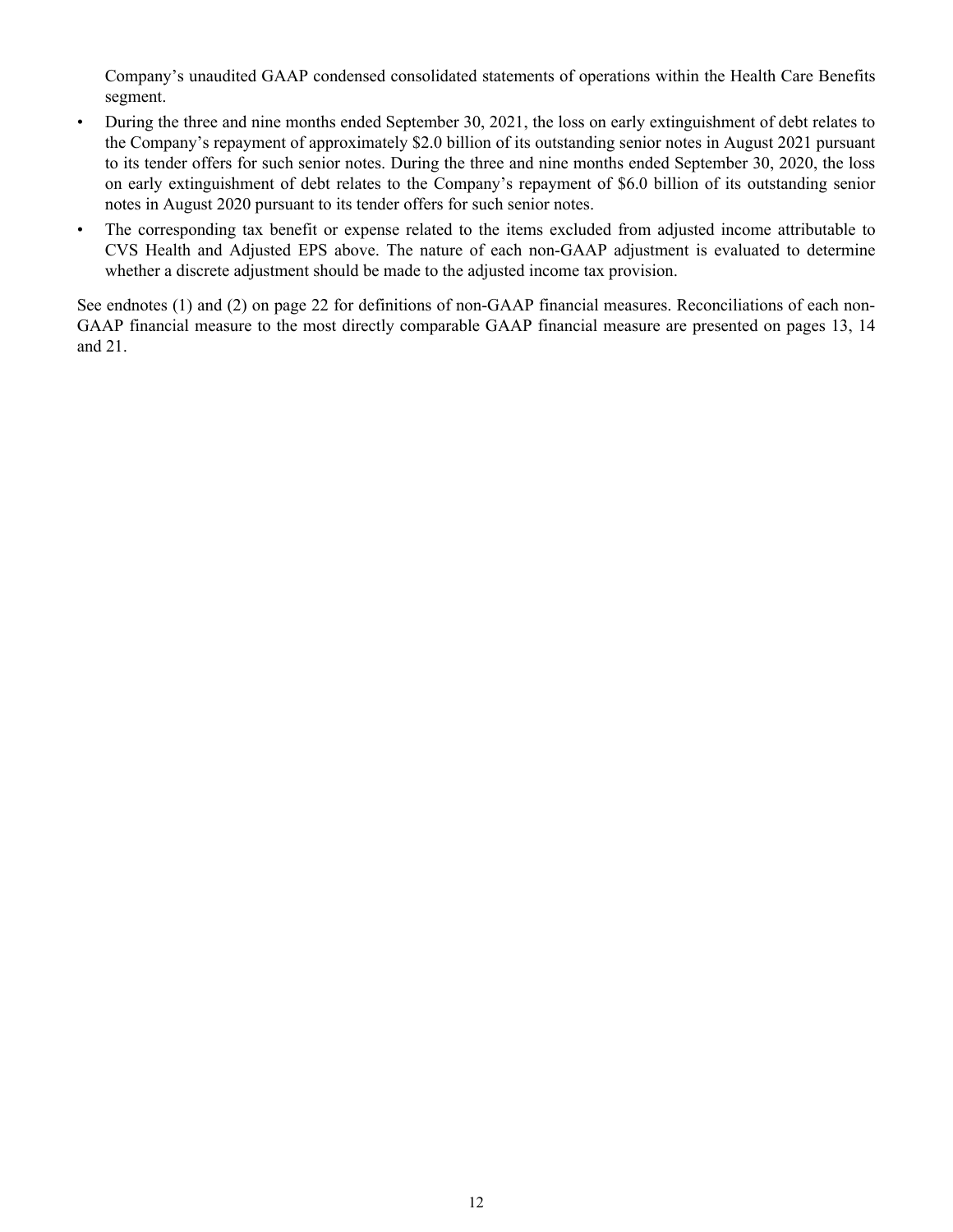Company's unaudited GAAP condensed consolidated statements of operations within the Health Care Benefits segment.

- During the three and nine months ended September 30, 2021, the loss on early extinguishment of debt relates to the Company's repayment of approximately \$2.0 billion of its outstanding senior notes in August 2021 pursuant to its tender offers for such senior notes. During the three and nine months ended September 30, 2020, the loss on early extinguishment of debt relates to the Company's repayment of \$6.0 billion of its outstanding senior notes in August 2020 pursuant to its tender offers for such senior notes.
- The corresponding tax benefit or expense related to the items excluded from adjusted income attributable to CVS Health and Adjusted EPS above. The nature of each non-GAAP adjustment is evaluated to determine whether a discrete adjustment should be made to the adjusted income tax provision.

See endnotes (1) and (2) on page 22 for definitions of non-GAAP financial measures. Reconciliations of each non-GAAP financial measure to the most directly comparable GAAP financial measure are presented on pages 13, 14 and 21.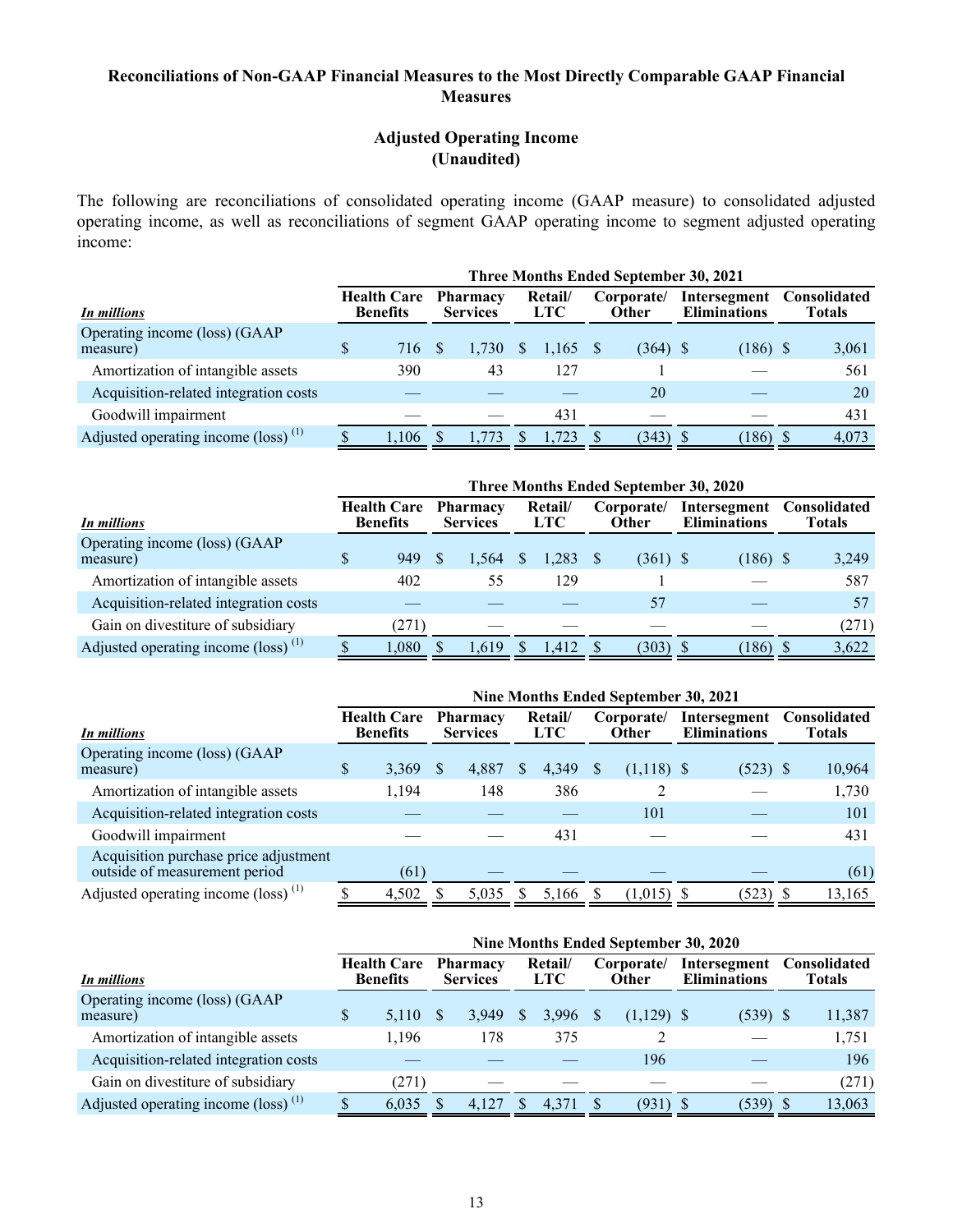#### **Reconciliations of Non-GAAP Financial Measures to the Most Directly Comparable GAAP Financial Measures**

## **Adjusted Operating Income (Unaudited)**

The following are reconciliations of consolidated operating income (GAAP measure) to consolidated adjusted operating income, as well as reconciliations of segment GAAP operating income to segment adjusted operating income:

|                                                          | Three Months Ended September 30, 2021 |       |  |                                    |                       |            |                            |            |                                     |            |  |                        |
|----------------------------------------------------------|---------------------------------------|-------|--|------------------------------------|-----------------------|------------|----------------------------|------------|-------------------------------------|------------|--|------------------------|
| In millions                                              | <b>Health Care</b><br><b>Benefits</b> |       |  | <b>Pharmacy</b><br><b>Services</b> | Retail/<br><b>LTC</b> |            | Corporate/<br><b>Other</b> |            | Intersegment<br><b>Eliminations</b> |            |  | Consolidated<br>Totals |
| Operating income (loss) (GAAP<br>measure)                |                                       | 716   |  | 1.730                              | <sup>S</sup>          | $1,165$ \$ |                            | $(364)$ \$ |                                     | $(186)$ \$ |  | 3,061                  |
| Amortization of intangible assets                        |                                       | 390   |  | 43                                 |                       | 127        |                            |            |                                     |            |  | 561                    |
| Acquisition-related integration costs                    |                                       |       |  |                                    |                       |            |                            | 20         |                                     |            |  | 20                     |
| Goodwill impairment                                      |                                       |       |  |                                    |                       | 431        |                            |            |                                     |            |  | 431                    |
| Adjusted operating income $(\text{loss})$ <sup>(1)</sup> |                                       | 1.106 |  | 1,773                              |                       | 1.723      |                            | (343)      |                                     | $186$ \$   |  | 4,073                  |

|                                                          |   | Three Months Ended September 30, 2020 |  |                                    |  |                       |  |                     |  |                                     |  |                               |  |
|----------------------------------------------------------|---|---------------------------------------|--|------------------------------------|--|-----------------------|--|---------------------|--|-------------------------------------|--|-------------------------------|--|
| In millions                                              |   | <b>Health Care</b><br><b>Benefits</b> |  | <b>Pharmacy</b><br><b>Services</b> |  | Retail/<br><b>LTC</b> |  | Corporate/<br>Other |  | Intersegment<br><b>Eliminations</b> |  | Consolidated<br><b>Totals</b> |  |
| Operating income (loss) (GAAP<br>measure)                | D | 949                                   |  | 1.564                              |  | 1.283                 |  | $(361)$ \$          |  | $(186)$ \$                          |  | 3,249                         |  |
| Amortization of intangible assets                        |   | 402                                   |  | 55                                 |  | 129                   |  |                     |  |                                     |  | 587                           |  |
| Acquisition-related integration costs                    |   |                                       |  |                                    |  |                       |  | 57                  |  |                                     |  | 57                            |  |
| Gain on divestiture of subsidiary                        |   | (271)                                 |  |                                    |  |                       |  |                     |  |                                     |  | (271)                         |  |
| Adjusted operating income $(\text{loss})$ <sup>(1)</sup> |   | 1.080                                 |  | 1.619                              |  | 1.412                 |  | (303)               |  | 186)                                |  | 3,622                         |  |

|                                                                        |   | Nine Months Ended September 30, 2021  |   |                                    |   |                       |  |                            |  |                                     |  |                                      |  |  |
|------------------------------------------------------------------------|---|---------------------------------------|---|------------------------------------|---|-----------------------|--|----------------------------|--|-------------------------------------|--|--------------------------------------|--|--|
| In millions                                                            |   | <b>Health Care</b><br><b>Benefits</b> |   | <b>Pharmacy</b><br><b>Services</b> |   | Retail/<br><b>LTC</b> |  | Corporate/<br><b>Other</b> |  | Intersegment<br><b>Eliminations</b> |  | <b>Consolidated</b><br><b>Totals</b> |  |  |
| Operating income (loss) (GAAP<br>measure)                              | S | 3,369                                 | S | 4,887                              | S | 4,349                 |  | $(1,118)$ \$               |  | $(523)$ \$                          |  | 10,964                               |  |  |
| Amortization of intangible assets                                      |   | 1,194                                 |   | 148                                |   | 386                   |  |                            |  |                                     |  | 1,730                                |  |  |
| Acquisition-related integration costs                                  |   |                                       |   |                                    |   |                       |  | 101                        |  |                                     |  | 101                                  |  |  |
| Goodwill impairment                                                    |   |                                       |   |                                    |   | 431                   |  |                            |  |                                     |  | 431                                  |  |  |
| Acquisition purchase price adjustment<br>outside of measurement period |   | (61)                                  |   |                                    |   |                       |  |                            |  |                                     |  | (61)                                 |  |  |
| Adjusted operating income $(\text{loss})$ <sup>(1)</sup>               |   | 4.502                                 |   | 5,035                              |   | 5,166                 |  | $(1,015)$ \$               |  | (523)                               |  | 13,165                               |  |  |

|                                                          |   |                                       |                                    |                       | Nine Months Ended September 30, 2020 |                                     |            |  |                               |
|----------------------------------------------------------|---|---------------------------------------|------------------------------------|-----------------------|--------------------------------------|-------------------------------------|------------|--|-------------------------------|
| In millions                                              |   | <b>Health Care</b><br><b>Benefits</b> | <b>Pharmacy</b><br><b>Services</b> | Retail/<br><b>LTC</b> | Corporate/<br><b>Other</b>           | Intersegment<br><b>Eliminations</b> |            |  | Consolidated<br><b>Totals</b> |
| Operating income (loss) (GAAP<br>measure)                | S | 5,110                                 | 3.949                              | 3.996                 | $(1,129)$ \$                         |                                     | $(539)$ \$ |  | 11,387                        |
| Amortization of intangible assets                        |   | 1.196                                 | 178                                | 375                   |                                      |                                     |            |  | 1,751                         |
| Acquisition-related integration costs                    |   |                                       |                                    |                       | 196                                  |                                     |            |  | 196                           |
| Gain on divestiture of subsidiary                        |   | (271)                                 |                                    |                       |                                      |                                     |            |  | (271)                         |
| Adjusted operating income $(\text{loss})$ <sup>(1)</sup> |   | 6.035                                 | 4.127                              | 4.371                 | (931)                                |                                     | (539)      |  | 13,063                        |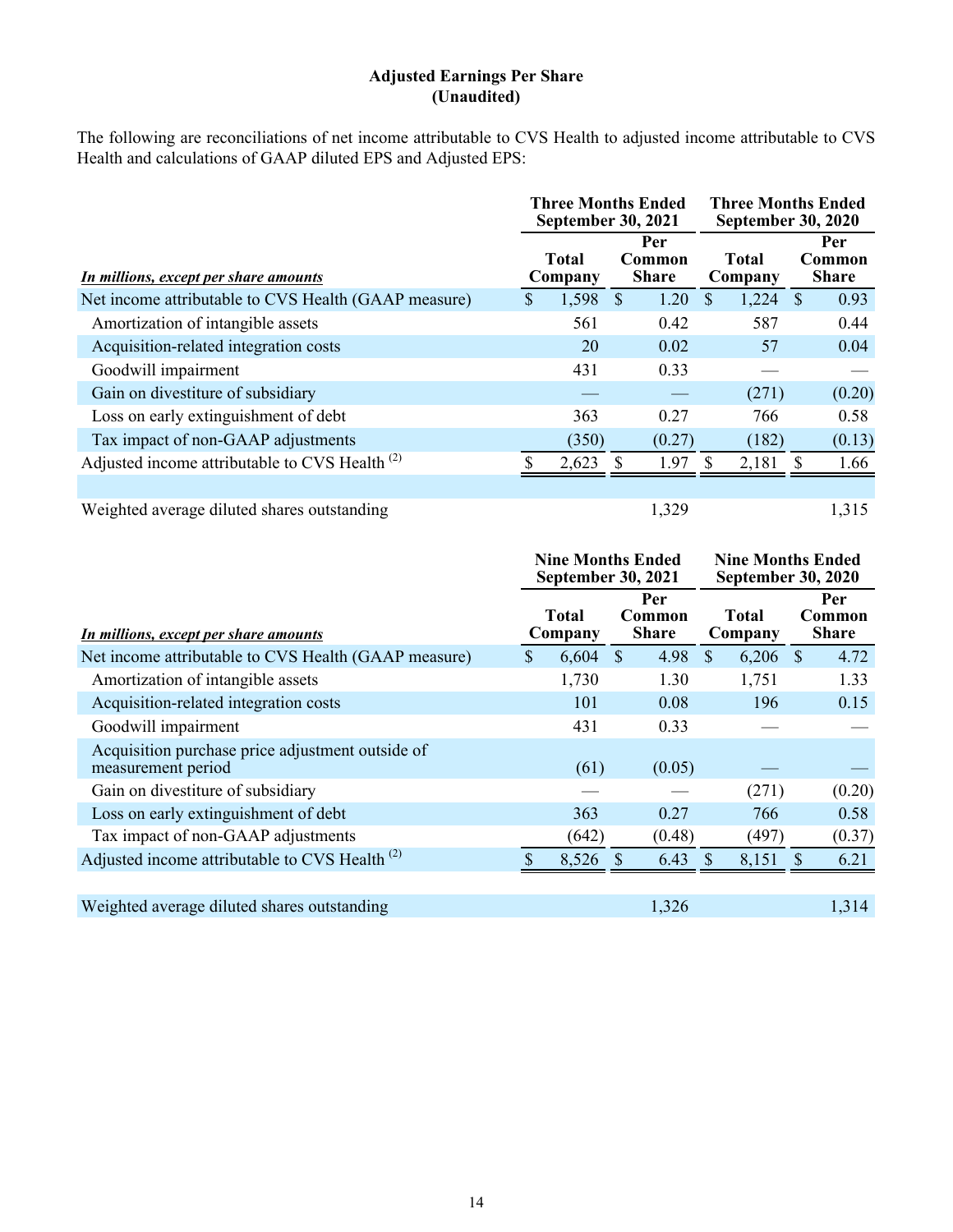## **Adjusted Earnings Per Share (Unaudited)**

The following are reconciliations of net income attributable to CVS Health to adjusted income attributable to CVS Health and calculations of GAAP diluted EPS and Adjusted EPS:

|                                                           | <b>Three Months Ended</b><br><b>September 30, 2021</b> |    |                               |     | <b>Three Months Ended</b><br><b>September 30, 2020</b> |               |                               |
|-----------------------------------------------------------|--------------------------------------------------------|----|-------------------------------|-----|--------------------------------------------------------|---------------|-------------------------------|
| In millions, except per share amounts                     | <b>Total</b><br>Company                                |    | Per<br>Common<br><b>Share</b> |     | <b>Total</b><br>Company                                |               | Per<br>Common<br><b>Share</b> |
| Net income attributable to CVS Health (GAAP measure)      | \$<br>1,598                                            | -S | 1.20                          | \$. | 1,224                                                  | <sup>\$</sup> | 0.93                          |
| Amortization of intangible assets                         | 561                                                    |    | 0.42                          |     | 587                                                    |               | 0.44                          |
| Acquisition-related integration costs                     | 20                                                     |    | 0.02                          |     | 57                                                     |               | 0.04                          |
| Goodwill impairment                                       | 431                                                    |    | 0.33                          |     |                                                        |               |                               |
| Gain on divestiture of subsidiary                         |                                                        |    |                               |     | (271)                                                  |               | (0.20)                        |
| Loss on early extinguishment of debt                      | 363                                                    |    | 0.27                          |     | 766                                                    |               | 0.58                          |
| Tax impact of non-GAAP adjustments                        | (350)                                                  |    | (0.27)                        |     | (182)                                                  |               | (0.13)                        |
| Adjusted income attributable to CVS Health <sup>(2)</sup> | 2,623                                                  |    | 1.97                          | S   | 2,181                                                  | $\mathcal{S}$ | 1.66                          |
|                                                           |                                                        |    |                               |     |                                                        |               |                               |
| Weighted average diluted shares outstanding               |                                                        |    | 1,329                         |     |                                                        |               | 1,315                         |

|                                                                        |              | <b>Nine Months Ended</b><br><b>September 30, 2021</b> |              | <b>Nine Months Ended</b><br><b>September 30, 2020</b> |               |                  |              |                               |
|------------------------------------------------------------------------|--------------|-------------------------------------------------------|--------------|-------------------------------------------------------|---------------|------------------|--------------|-------------------------------|
| <b>In millions, except per share amounts</b>                           |              | <b>Total</b><br>Company                               |              | Per<br>Common<br><b>Share</b>                         |               | Total<br>Company |              | Per<br>Common<br><b>Share</b> |
| Net income attributable to CVS Health (GAAP measure)                   | $\mathbb{S}$ | 6,604                                                 | <sup>S</sup> | 4.98                                                  | \$.           | 6,206            | <sup>S</sup> | 4.72                          |
| Amortization of intangible assets                                      |              | 1,730                                                 |              | 1.30                                                  |               | 1,751            |              | 1.33                          |
| Acquisition-related integration costs                                  |              | 101                                                   |              | 0.08                                                  |               | 196              |              | 0.15                          |
| Goodwill impairment                                                    |              | 431                                                   |              | 0.33                                                  |               |                  |              |                               |
| Acquisition purchase price adjustment outside of<br>measurement period |              | (61)                                                  |              | (0.05)                                                |               |                  |              |                               |
| Gain on divestiture of subsidiary                                      |              |                                                       |              |                                                       |               | (271)            |              | (0.20)                        |
| Loss on early extinguishment of debt                                   |              | 363                                                   |              | 0.27                                                  |               | 766              |              | 0.58                          |
| Tax impact of non-GAAP adjustments                                     |              | (642)                                                 |              | (0.48)                                                |               | (497)            |              | (0.37)                        |
| Adjusted income attributable to CVS Health <sup>(2)</sup>              |              | 8,526                                                 |              | 6.43                                                  | <sup>\$</sup> | 8,151            |              | 6.21                          |
|                                                                        |              |                                                       |              |                                                       |               |                  |              |                               |
| Weighted average diluted shares outstanding                            |              |                                                       |              | 1,326                                                 |               |                  |              | 1,314                         |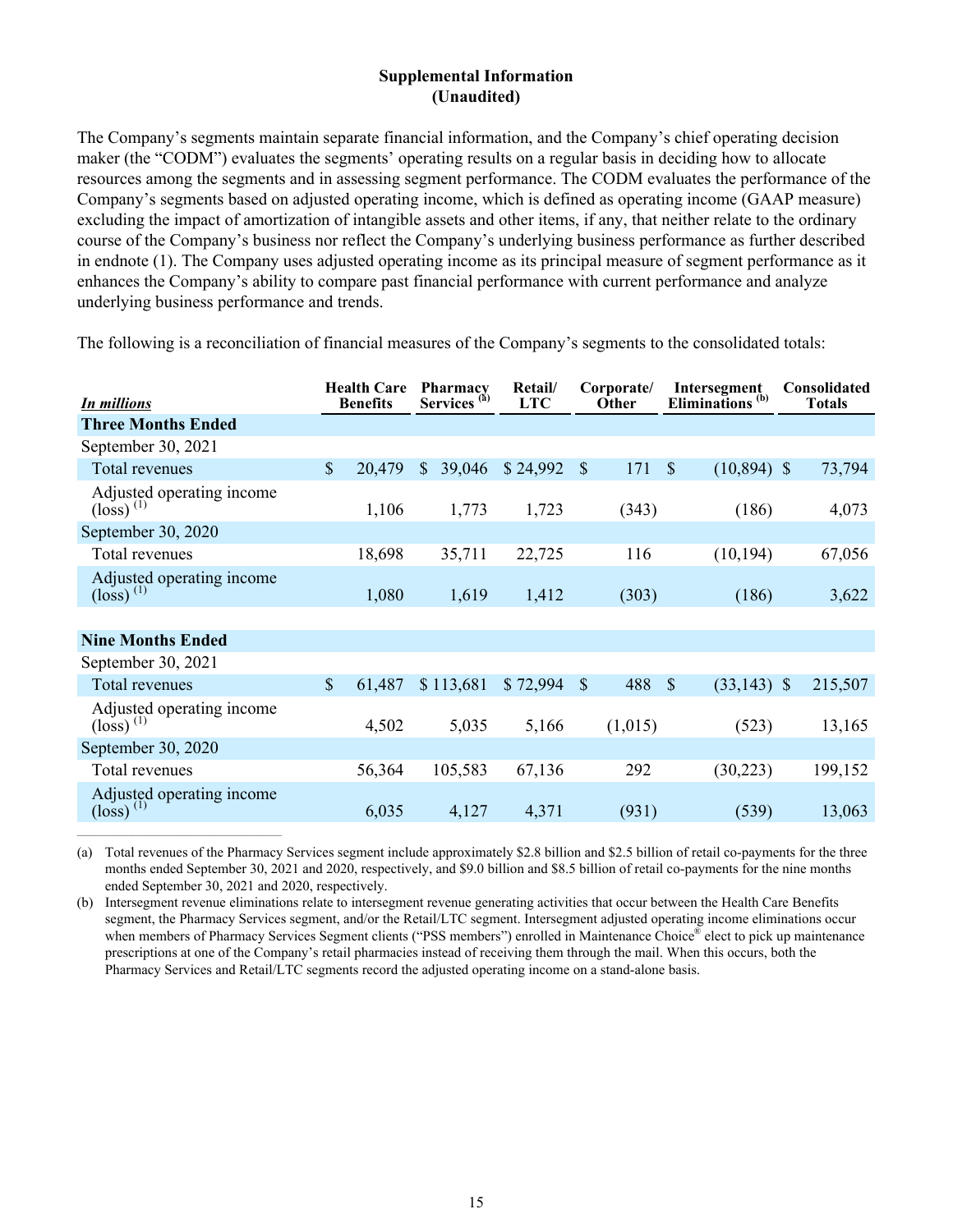The Company's segments maintain separate financial information, and the Company's chief operating decision maker (the "CODM") evaluates the segments' operating results on a regular basis in deciding how to allocate resources among the segments and in assessing segment performance. The CODM evaluates the performance of the Company's segments based on adjusted operating income, which is defined as operating income (GAAP measure) excluding the impact of amortization of intangible assets and other items, if any, that neither relate to the ordinary course of the Company's business nor reflect the Company's underlying business performance as further described in endnote (1). The Company uses adjusted operating income as its principal measure of segment performance as it enhances the Company's ability to compare past financial performance with current performance and analyze underlying business performance and trends.

The following is a reconciliation of financial measures of the Company's segments to the consolidated totals:

| In millions                                                    | <b>Health Care</b><br><b>Benefits</b> |        | Pharmacy<br>Services <sup>(a)</sup> |           | Retail/<br><b>LTC</b> |               | Corporate/<br>Other | Intersegment<br>Eliminations <sup>(b)</sup> |                |    | <b>Consolidated</b><br>Totals |
|----------------------------------------------------------------|---------------------------------------|--------|-------------------------------------|-----------|-----------------------|---------------|---------------------|---------------------------------------------|----------------|----|-------------------------------|
| <b>Three Months Ended</b>                                      |                                       |        |                                     |           |                       |               |                     |                                             |                |    |                               |
| September 30, 2021                                             |                                       |        |                                     |           |                       |               |                     |                                             |                |    |                               |
| Total revenues                                                 | $\boldsymbol{\mathsf{S}}$             | 20,479 | \$                                  | 39,046    | \$24,992              | \$.           | 171                 | \$.                                         | (10, 894)      | -S | 73,794                        |
| Adjusted operating income<br>$\left(\frac{1}{2} \right)^{(1)}$ |                                       | 1,106  |                                     | 1,773     | 1,723                 |               | (343)               |                                             | (186)          |    | 4,073                         |
| September 30, 2020                                             |                                       |        |                                     |           |                       |               |                     |                                             |                |    |                               |
| Total revenues                                                 |                                       | 18,698 |                                     | 35,711    | 22,725                |               | 116                 |                                             | (10, 194)      |    | 67,056                        |
| Adjusted operating income $\text{(loss)}^{(1)}$                |                                       | 1,080  |                                     | 1,619     | 1,412                 |               | (303)               |                                             | (186)          |    | 3,622                         |
|                                                                |                                       |        |                                     |           |                       |               |                     |                                             |                |    |                               |
| <b>Nine Months Ended</b>                                       |                                       |        |                                     |           |                       |               |                     |                                             |                |    |                               |
| September 30, 2021                                             |                                       |        |                                     |           |                       |               |                     |                                             |                |    |                               |
| Total revenues                                                 | $\mathbb{S}$                          | 61,487 |                                     | \$113,681 | \$72,994              | <sup>\$</sup> | 488                 | $\mathbb{S}$                                | $(33, 143)$ \$ |    | 215,507                       |
| Adjusted operating income $(\text{loss})^{(1)}$                |                                       | 4,502  |                                     | 5,035     | 5,166                 |               | (1,015)             |                                             | (523)          |    | 13,165                        |
| September 30, 2020                                             |                                       |        |                                     |           |                       |               |                     |                                             |                |    |                               |
| Total revenues                                                 |                                       | 56,364 |                                     | 105,583   | 67,136                |               | 292                 |                                             | (30, 223)      |    | 199,152                       |
| Adjusted operating income<br>$\left(\frac{1}{2} \right)^{(1)}$ |                                       | 6,035  |                                     | 4,127     | 4,371                 |               | (931)               |                                             | (539)          |    | 13,063                        |

(a) Total revenues of the Pharmacy Services segment include approximately \$2.8 billion and \$2.5 billion of retail co-payments for the three months ended September 30, 2021 and 2020, respectively, and \$9.0 billion and \$8.5 billion of retail co-payments for the nine months ended September 30, 2021 and 2020, respectively.

(b) Intersegment revenue eliminations relate to intersegment revenue generating activities that occur between the Health Care Benefits segment, the Pharmacy Services segment, and/or the Retail/LTC segment. Intersegment adjusted operating income eliminations occur when members of Pharmacy Services Segment clients ("PSS members") enrolled in Maintenance Choice® elect to pick up maintenance prescriptions at one of the Company's retail pharmacies instead of receiving them through the mail. When this occurs, both the Pharmacy Services and Retail/LTC segments record the adjusted operating income on a stand-alone basis.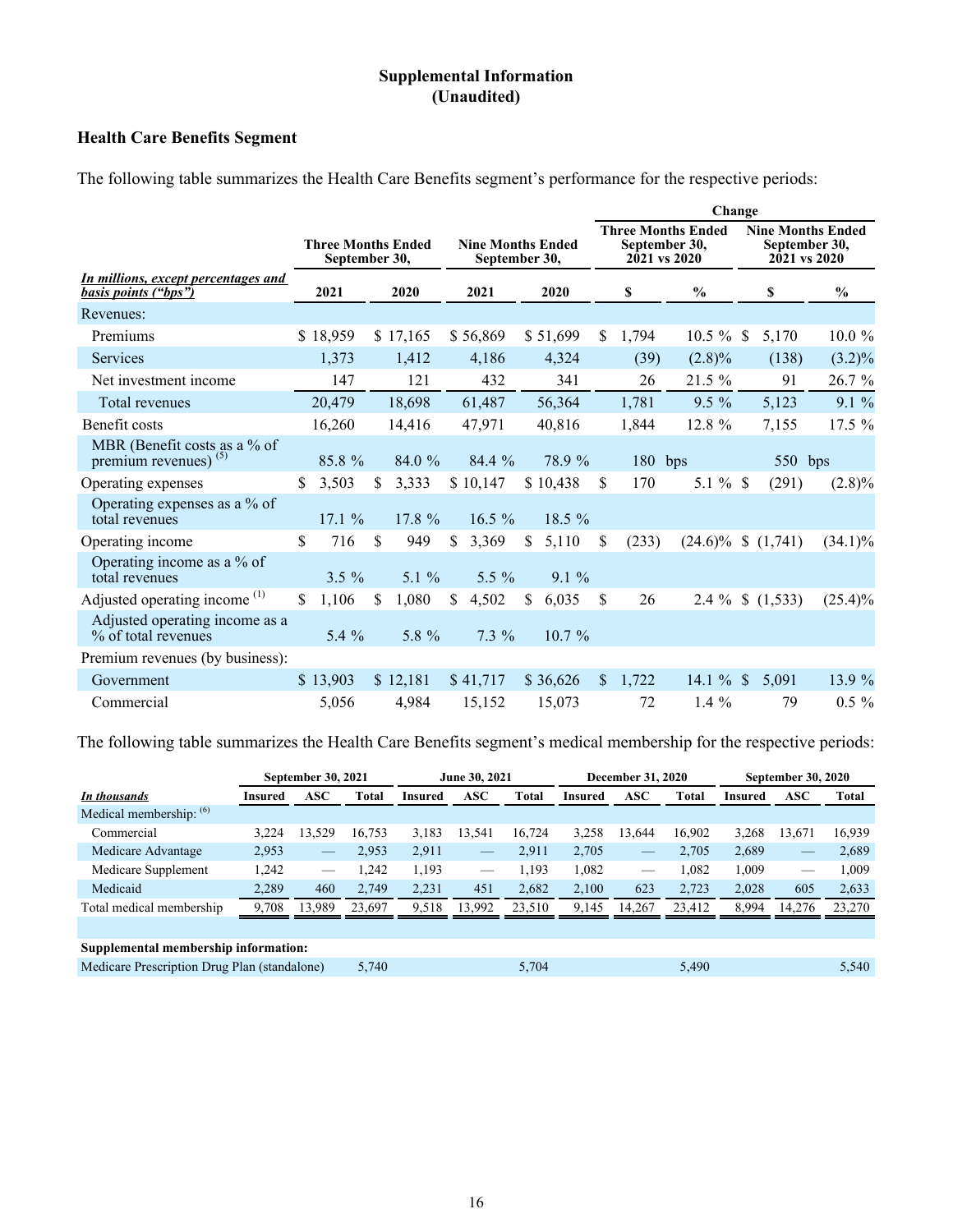## **Health Care Benefits Segment**

The following table summarizes the Health Care Benefits segment's performance for the respective periods:

|                                                                    |                                            |             |                                           |    |          | Change       |                                                            |  |               |                                                               |         |  |               |
|--------------------------------------------------------------------|--------------------------------------------|-------------|-------------------------------------------|----|----------|--------------|------------------------------------------------------------|--|---------------|---------------------------------------------------------------|---------|--|---------------|
|                                                                    | <b>Three Months Ended</b><br>September 30, |             | <b>Nine Months Ended</b><br>September 30, |    |          |              | <b>Three Months Ended</b><br>September 30,<br>2021 vs 2020 |  |               | <b>Nine Months Ended</b><br>September 30,<br>$2021$ vs $2020$ |         |  |               |
| In millions, except percentages and<br><b>basis points ("bps")</b> | 2021                                       | 2020        | 2021                                      |    | 2020     |              | \$                                                         |  | $\frac{0}{0}$ |                                                               | \$      |  | $\frac{0}{0}$ |
| Revenues:                                                          |                                            |             |                                           |    |          |              |                                                            |  |               |                                                               |         |  |               |
| Premiums                                                           | \$18,959                                   | \$17,165    | \$56,869                                  |    | \$51,699 | S.           | 1,794                                                      |  | $10.5 \%$     | S                                                             | 5,170   |  | 10.0 %        |
| <b>Services</b>                                                    | 1,373                                      | 1,412       | 4,186                                     |    | 4,324    |              | (39)                                                       |  | $(2.8)\%$     |                                                               | (138)   |  | $(3.2)\%$     |
| Net investment income                                              | 147                                        | 121         | 432                                       |    | 341      |              | 26                                                         |  | 21.5 %        |                                                               | 91      |  | 26.7 %        |
| Total revenues                                                     | 20,479                                     | 18,698      | 61,487                                    |    | 56,364   |              | 1,781                                                      |  | $9.5 \%$      |                                                               | 5,123   |  | 9.1%          |
| Benefit costs                                                      | 16,260                                     | 14,416      | 47,971                                    |    | 40,816   |              | 1,844                                                      |  | 12.8 %        |                                                               | 7,155   |  | 17.5 %        |
| MBR (Benefit costs as a % of<br>premium revenues) $(5)$            | 85.8 %                                     | 84.0 %      | 84.4 %                                    |    | 78.9 %   |              | $180$ bps                                                  |  |               |                                                               | 550 bps |  |               |
| Operating expenses                                                 | \$<br>3,503                                | \$<br>3,333 | \$10,147                                  |    | \$10,438 | \$           | 170                                                        |  | 5.1 $%$ \$    |                                                               | (291)   |  | $(2.8)\%$     |
| Operating expenses as a % of<br>total revenues                     | 17.1 %                                     | 17.8 %      | 16.5 $%$                                  |    | 18.5 %   |              |                                                            |  |               |                                                               |         |  |               |
| Operating income                                                   | \$<br>716                                  | \$<br>949   | \$<br>3,369                               | S. | 5,110    | \$           | (233)                                                      |  | $(24.6)\%$    |                                                               | (1,741) |  | $(34.1)\%$    |
| Operating income as a % of<br>total revenues                       | $3.5 \%$                                   | $5.1 \%$    | 5.5 $\%$                                  |    | $9.1\%$  |              |                                                            |  |               |                                                               |         |  |               |
| Adjusted operating income <sup>(1)</sup>                           | \$<br>1,106                                | \$<br>1,080 | \$<br>4,502                               | \$ | 6,035    | \$           | 26                                                         |  | $2.4\%$       |                                                               | (1,533) |  | $(25.4)\%$    |
| Adjusted operating income as a<br>% of total revenues              | 5.4 $%$                                    | 5.8 %       | $7.3\%$                                   |    | 10.7%    |              |                                                            |  |               |                                                               |         |  |               |
| Premium revenues (by business):                                    |                                            |             |                                           |    |          |              |                                                            |  |               |                                                               |         |  |               |
| Government                                                         | \$13,903                                   | \$12,181    | \$41,717                                  |    | \$36,626 | $\mathbb{S}$ | 1,722                                                      |  | $14.1 \%$ \$  |                                                               | 5,091   |  | 13.9 %        |
| Commercial                                                         | 5,056                                      | 4,984       | 15,152                                    |    | 15,073   |              | 72                                                         |  | $1.4\%$       |                                                               | 79      |  | $0.5 \%$      |

The following table summarizes the Health Care Benefits segment's medical membership for the respective periods:

|                                              |         | <b>September 30, 2021</b>      |              |         | June 30, 2021                   |              |         | <b>December 31, 2020</b> |        | <b>September 30, 2020</b> |                                   |        |  |  |
|----------------------------------------------|---------|--------------------------------|--------------|---------|---------------------------------|--------------|---------|--------------------------|--------|---------------------------|-----------------------------------|--------|--|--|
| In thousands                                 | Insured | <b>ASC</b>                     | <b>Total</b> | Insured | <b>ASC</b>                      | <b>Total</b> | Insured | ASC                      | Total  | Insured                   | <b>ASC</b>                        | Total  |  |  |
| Medical membership: (6)                      |         |                                |              |         |                                 |              |         |                          |        |                           |                                   |        |  |  |
| Commercial                                   | 3,224   | 13,529                         | 16,753       | 3,183   | 13,541                          | 16,724       | 3,258   | 13,644                   | 16,902 | 3,268                     | 13,671                            | 16,939 |  |  |
| Medicare Advantage                           | 2,953   | $\overline{\phantom{m}}$       | 2,953        | 2,911   | $\hspace{0.1mm}-\hspace{0.1mm}$ | 2,911        | 2,705   |                          | 2,705  | 2,689                     | $\qquad \qquad \overbrace{ }^{ }$ | 2,689  |  |  |
| Medicare Supplement                          | 1,242   | $\qquad \qquad \longleftarrow$ | .242         | 1,193   | $\qquad \qquad \longleftarrow$  | 1,193        | 1,082   | $\hspace{0.05cm}$        | 1.082  | 1,009                     | $\overline{\phantom{a}}$          | 1,009  |  |  |
| Medicaid                                     | 2.289   | 460                            | 2.749        | 2.231   | 451                             | 2,682        | 2,100   | 623                      | 2,723  | 2,028                     | 605                               | 2,633  |  |  |
| Total medical membership                     | 9,708   | 13,989                         | 23.697       | 9,518   | 13,992                          | 23,510       | 9,145   | 14,267                   | 23.412 | 8.994                     | 14,276                            | 23,270 |  |  |
|                                              |         |                                |              |         |                                 |              |         |                          |        |                           |                                   |        |  |  |
| Supplemental membership information:         |         |                                |              |         |                                 |              |         |                          |        |                           |                                   |        |  |  |
| Medicare Prescription Drug Plan (standalone) |         |                                | 5.740        |         |                                 | 5.704        |         |                          | 5,490  |                           |                                   | 5.540  |  |  |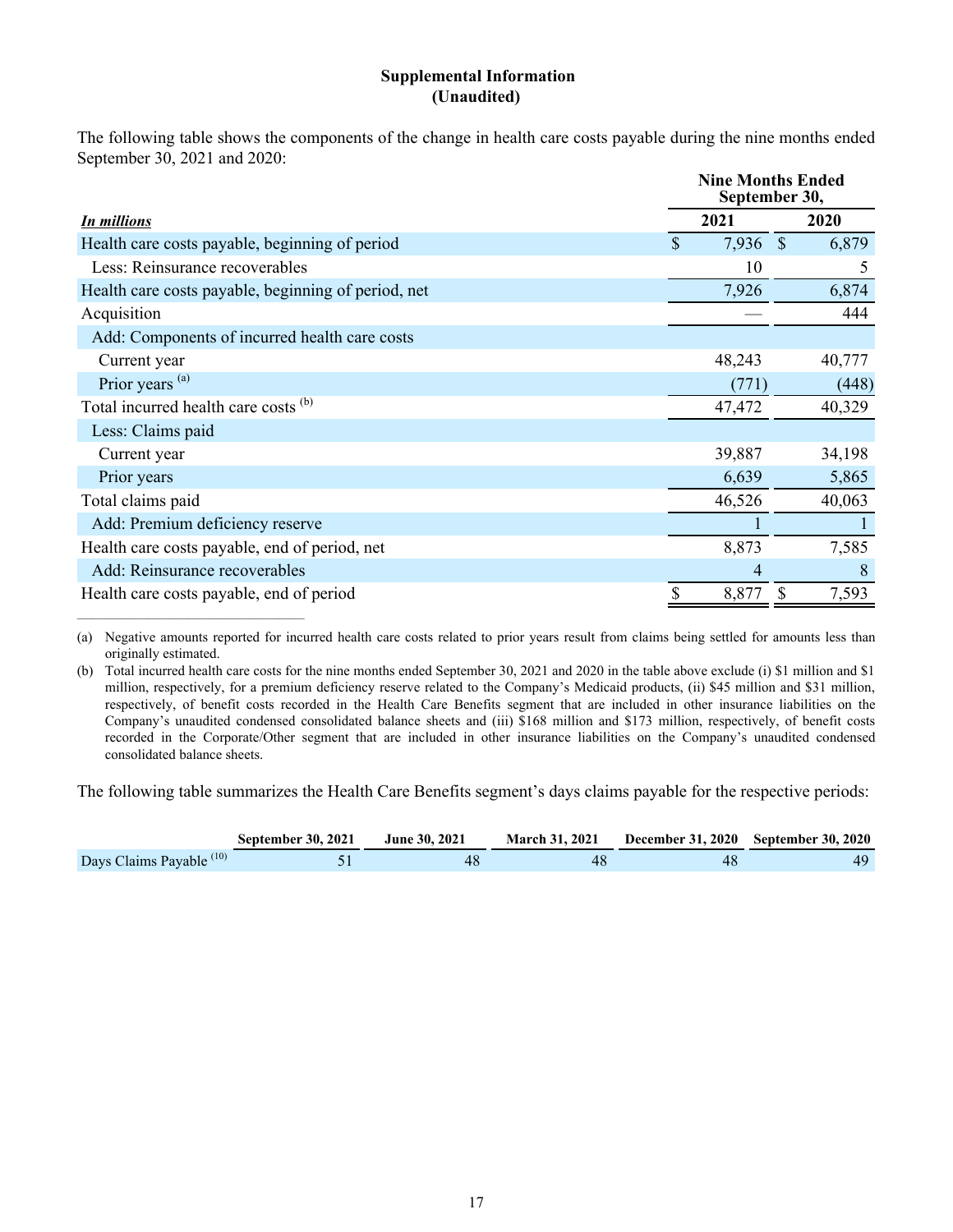The following table shows the components of the change in health care costs payable during the nine months ended September 30, 2021 and 2020:

|                                                     |                | <b>Nine Months Ended</b><br>September 30, |
|-----------------------------------------------------|----------------|-------------------------------------------|
| <b>In millions</b>                                  | 2021           | 2020                                      |
| Health care costs payable, beginning of period      | \$<br>7,936 \$ | 6,879                                     |
| Less: Reinsurance recoverables                      | 10             | 5                                         |
| Health care costs payable, beginning of period, net | 7,926          | 6,874                                     |
| Acquisition                                         |                | 444                                       |
| Add: Components of incurred health care costs       |                |                                           |
| Current year                                        | 48,243         | 40,777                                    |
| Prior years <sup>(a)</sup>                          | (771)          | (448)                                     |
| Total incurred health care costs (b)                | 47,472         | 40,329                                    |
| Less: Claims paid                                   |                |                                           |
| Current year                                        | 39,887         | 34,198                                    |
| Prior years                                         | 6,639          | 5,865                                     |
| Total claims paid                                   | 46,526         | 40,063                                    |
| Add: Premium deficiency reserve                     |                |                                           |
| Health care costs payable, end of period, net       | 8,873          | 7,585                                     |
| Add: Reinsurance recoverables                       | 4              | 8                                         |
| Health care costs payable, end of period            | \$<br>8,877    | 7,593<br>\$                               |

(a) Negative amounts reported for incurred health care costs related to prior years result from claims being settled for amounts less than originally estimated.

 $\mathcal{L}_\text{max} = \mathcal{L}_\text{max} = \mathcal{L}_\text{max} = \mathcal{L}_\text{max} = \mathcal{L}_\text{max} = \mathcal{L}_\text{max}$ 

(b) Total incurred health care costs for the nine months ended September 30, 2021 and 2020 in the table above exclude (i) \$1 million and \$1 million, respectively, for a premium deficiency reserve related to the Company's Medicaid products, (ii) \$45 million and \$31 million, respectively, of benefit costs recorded in the Health Care Benefits segment that are included in other insurance liabilities on the Company's unaudited condensed consolidated balance sheets and (iii) \$168 million and \$173 million, respectively, of benefit costs recorded in the Corporate/Other segment that are included in other insurance liabilities on the Company's unaudited condensed consolidated balance sheets.

The following table summarizes the Health Care Benefits segment's days claims payable for the respective periods:

|                                     | September 30, 2021 June 30, 2021 |    |  | March 31, 2021 December 31, 2020 September 30, 2020 |
|-------------------------------------|----------------------------------|----|--|-----------------------------------------------------|
| Days Claims Payable <sup>(10)</sup> |                                  | 48 |  | 49                                                  |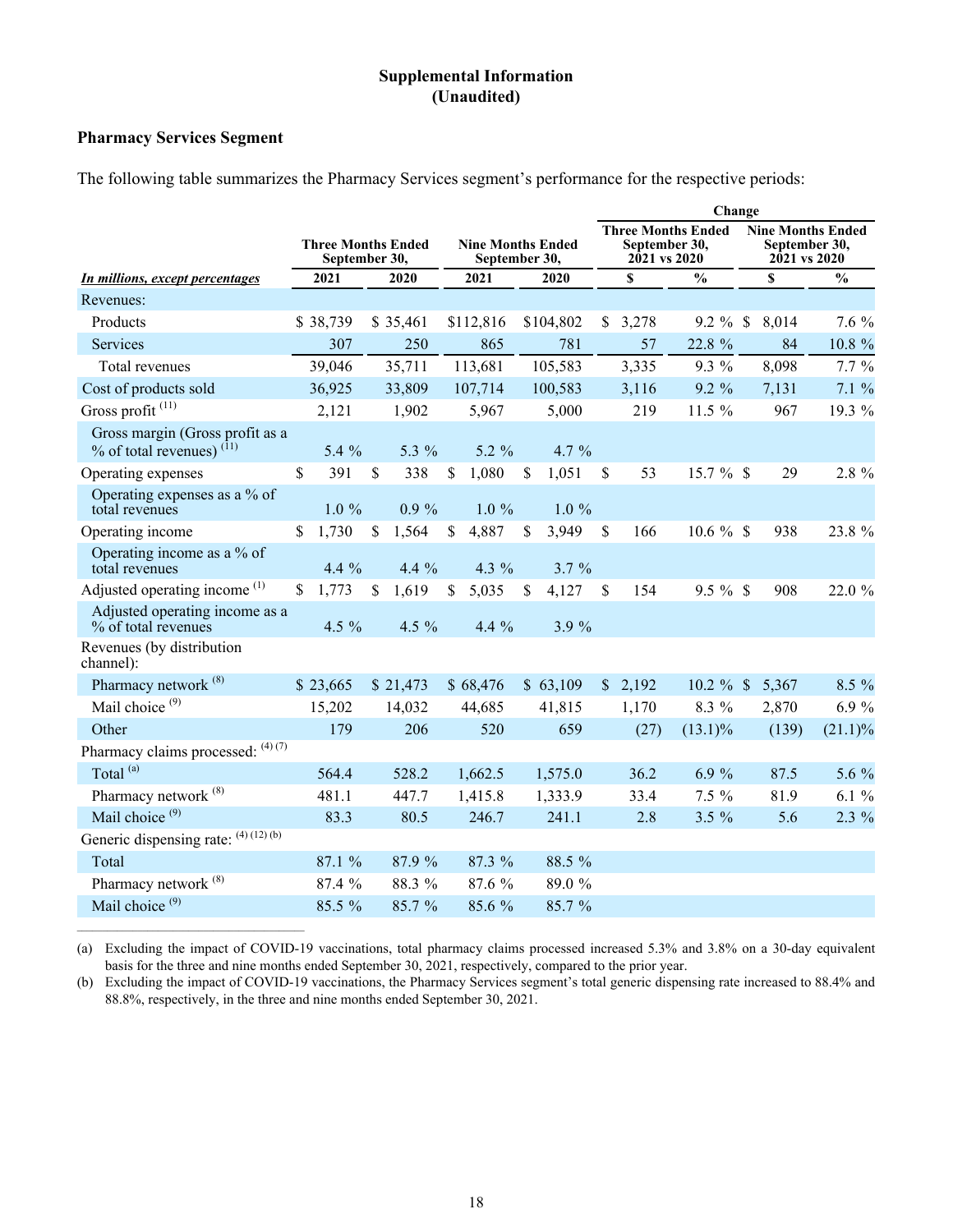#### **Pharmacy Services Segment**

 $\mathcal{L}_\text{max} = \mathcal{L}_\text{max} = \mathcal{L}_\text{max} = \mathcal{L}_\text{max} = \mathcal{L}_\text{max} = \mathcal{L}_\text{max} = \mathcal{L}_\text{max}$ 

The following table summarizes the Pharmacy Services segment's performance for the respective periods:

|                                                                      | Change<br><b>Three Months Ended</b><br><b>Nine Months Ended</b> |                                            |    |          |    |                                           |               |           |                                   |               |               |                                   |               |
|----------------------------------------------------------------------|-----------------------------------------------------------------|--------------------------------------------|----|----------|----|-------------------------------------------|---------------|-----------|-----------------------------------|---------------|---------------|-----------------------------------|---------------|
|                                                                      |                                                                 | <b>Three Months Ended</b><br>September 30, |    |          |    | <b>Nine Months Ended</b><br>September 30, |               |           | September 30,<br>$2021$ vs $2020$ |               |               | September 30,<br>$2021$ vs $2020$ |               |
| In millions, except percentages                                      |                                                                 | 2021                                       |    | 2020     |    | 2021                                      |               | 2020      | \$                                | $\frac{0}{0}$ |               | \$                                | $\frac{0}{0}$ |
| Revenues:                                                            |                                                                 |                                            |    |          |    |                                           |               |           |                                   |               |               |                                   |               |
| Products                                                             |                                                                 | \$38,739                                   |    | \$35,461 |    | \$112,816                                 |               | \$104,802 | \$<br>3,278                       | $9.2 \%$      | $\mathcal{S}$ | 8,014                             | 7.6 %         |
| Services                                                             |                                                                 | 307                                        |    | 250      |    | 865                                       |               | 781       | 57                                | 22.8 %        |               | 84                                | 10.8 %        |
| Total revenues                                                       |                                                                 | 39,046                                     |    | 35,711   |    | 113,681                                   |               | 105,583   | 3,335                             | $9.3\%$       |               | 8,098                             | $7.7\%$       |
| Cost of products sold                                                |                                                                 | 36,925                                     |    | 33,809   |    | 107,714                                   |               | 100,583   | 3,116                             | $9.2\%$       |               | 7,131                             | 7.1%          |
| Gross profit $(11)$                                                  |                                                                 | 2,121                                      |    | 1,902    |    | 5,967                                     |               | 5,000     | 219                               | $11.5\%$      |               | 967                               | 19.3 %        |
| Gross margin (Gross profit as a<br>$\%$ of total revenues) $^{(11)}$ |                                                                 | 5.4%                                       |    | 5.3 %    |    | 5.2 %                                     |               | 4.7 %     |                                   |               |               |                                   |               |
| Operating expenses                                                   | \$                                                              | 391                                        | \$ | 338      | \$ | 1,080                                     | \$            | 1,051     | \$<br>53                          | 15.7 $%$ \$   |               | 29                                | 2.8 %         |
| Operating expenses as a % of<br>total revenues                       |                                                                 | 1.0%                                       |    | $0.9 \%$ |    | $1.0\%$                                   |               | 1.0%      |                                   |               |               |                                   |               |
| Operating income                                                     | \$                                                              | 1,730                                      | \$ | 1,564    | \$ | 4,887                                     | $\mathsf{\$}$ | 3,949     | \$<br>166                         | 10.6 $%$ \$   |               | 938                               | 23.8 %        |
| Operating income as a % of<br>total revenues                         |                                                                 | $4.4\%$                                    |    | 4.4 %    |    | 4.3 $%$                                   |               | $3.7 \%$  |                                   |               |               |                                   |               |
| Adjusted operating income $(1)$                                      | \$                                                              | 1,773                                      | \$ | 1,619    | \$ | 5,035                                     | \$            | 4,127     | \$<br>154                         | $9.5 \%$      |               | 908                               | 22.0 %        |
| Adjusted operating income as a<br>% of total revenues                |                                                                 | 4.5 $%$                                    |    | 4.5 $\%$ |    | 4.4 $%$                                   |               | 3.9 %     |                                   |               |               |                                   |               |
| Revenues (by distribution<br>channel):                               |                                                                 |                                            |    |          |    |                                           |               |           |                                   |               |               |                                   |               |
| Pharmacy network <sup>(8)</sup>                                      |                                                                 | \$23,665                                   |    | \$21,473 |    | \$68,476                                  |               | \$63,109  | \$2,192                           | $10.2 \%$ \$  |               | 5,367                             | 8.5 %         |
| Mail choice <sup>(9)</sup>                                           |                                                                 | 15,202                                     |    | 14,032   |    | 44,685                                    |               | 41,815    | 1,170                             | 8.3 %         |               | 2,870                             | $6.9 \%$      |
| Other                                                                |                                                                 | 179                                        |    | 206      |    | 520                                       |               | 659       | (27)                              | $(13.1)\%$    |               | (139)                             | $(21.1)\%$    |
| Pharmacy claims processed: $(4)(7)$                                  |                                                                 |                                            |    |          |    |                                           |               |           |                                   |               |               |                                   |               |
| Total <sup>(a)</sup>                                                 |                                                                 | 564.4                                      |    | 528.2    |    | 1,662.5                                   |               | 1,575.0   | 36.2                              | 6.9%          |               | 87.5                              | 5.6 %         |
| Pharmacy network <sup>(8)</sup>                                      |                                                                 | 481.1                                      |    | 447.7    |    | 1,415.8                                   |               | 1,333.9   | 33.4                              | 7.5 %         |               | 81.9                              | $6.1 \%$      |
| Mail choice <sup>(9)</sup>                                           |                                                                 | 83.3                                       |    | 80.5     |    | 246.7                                     |               | 241.1     | 2.8                               | $3.5 \%$      |               | 5.6                               | $2.3\%$       |
| Generic dispensing rate: (4) (12) (b)                                |                                                                 |                                            |    |          |    |                                           |               |           |                                   |               |               |                                   |               |
| Total                                                                |                                                                 | 87.1 %                                     |    | 87.9 %   |    | 87.3 %                                    |               | 88.5 %    |                                   |               |               |                                   |               |
| Pharmacy network <sup>(8)</sup>                                      |                                                                 | 87.4 %                                     |    | 88.3 %   |    | 87.6 %                                    |               | 89.0 %    |                                   |               |               |                                   |               |
| Mail choice <sup>(9)</sup>                                           |                                                                 | 85.5 %                                     |    | 85.7 %   |    | 85.6 %                                    |               | 85.7 %    |                                   |               |               |                                   |               |

(a) Excluding the impact of COVID-19 vaccinations, total pharmacy claims processed increased 5.3% and 3.8% on a 30-day equivalent basis for the three and nine months ended September 30, 2021, respectively, compared to the prior year.

(b) Excluding the impact of COVID-19 vaccinations, the Pharmacy Services segment's total generic dispensing rate increased to 88.4% and 88.8%, respectively, in the three and nine months ended September 30, 2021.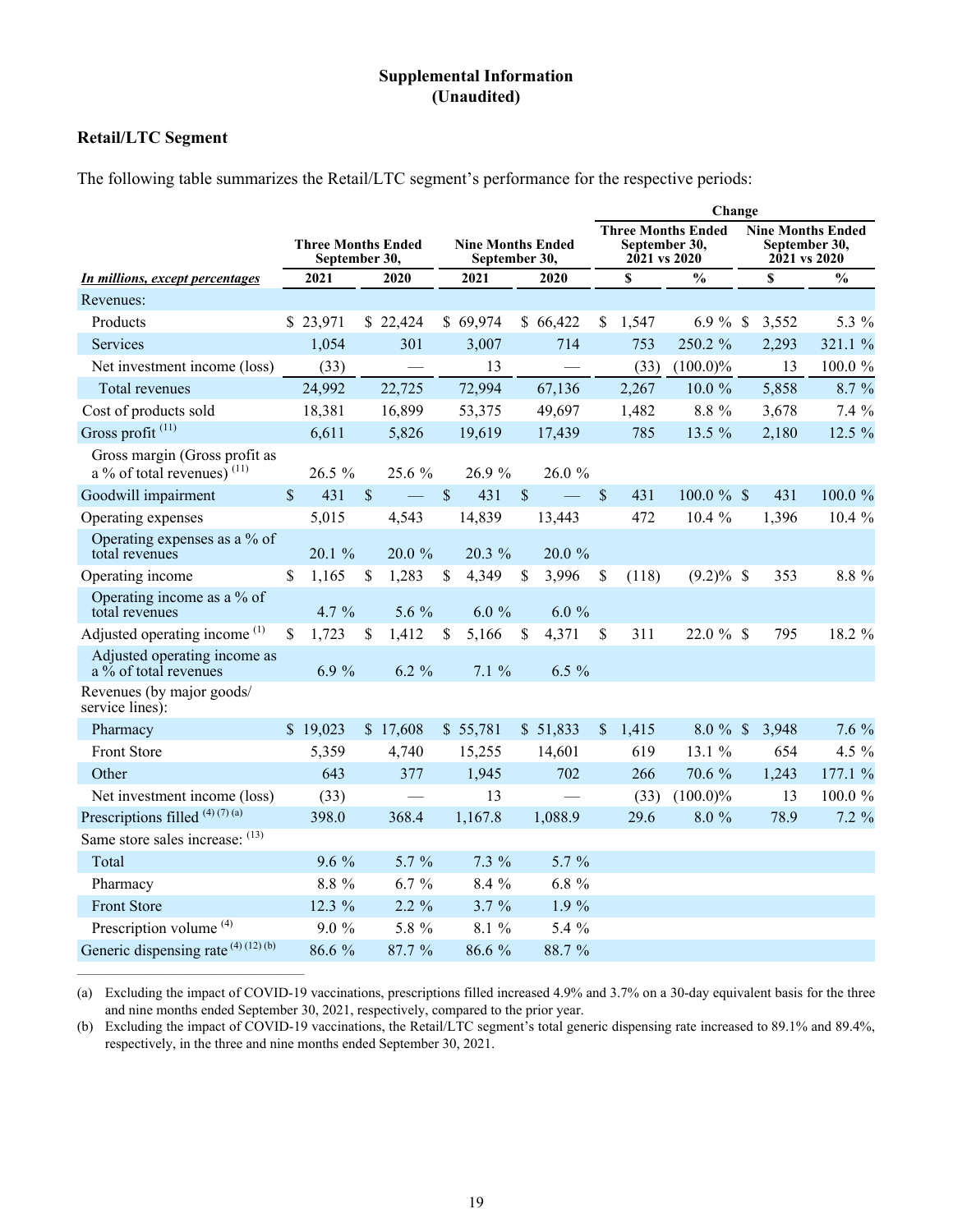## **Retail/LTC Segment**

 $\mathcal{L}_\text{max} = \mathcal{L}_\text{max} = \mathcal{L}_\text{max} = \mathcal{L}_\text{max} = \mathcal{L}_\text{max} = \mathcal{L}_\text{max} = \mathcal{L}_\text{max}$ 

The following table summarizes the Retail/LTC segment's performance for the respective periods:

|                                                                |             |                                            |                    |          |                    |                                           |             | Change<br><b>Three Months Ended</b><br><b>Nine Months Ended</b> |                |                               |               |  |                               |               |
|----------------------------------------------------------------|-------------|--------------------------------------------|--------------------|----------|--------------------|-------------------------------------------|-------------|-----------------------------------------------------------------|----------------|-------------------------------|---------------|--|-------------------------------|---------------|
|                                                                |             | <b>Three Months Ended</b><br>September 30, |                    |          |                    | <b>Nine Months Ended</b><br>September 30, |             |                                                                 |                | September 30,<br>2021 vs 2020 |               |  | September 30,<br>2021 vs 2020 |               |
| In millions, except percentages                                |             | 2021                                       |                    | 2020     |                    | 2021                                      |             | 2020                                                            |                | \$                            | $\frac{0}{0}$ |  | \$                            | $\frac{0}{0}$ |
| Revenues:                                                      |             |                                            |                    |          |                    |                                           |             |                                                                 |                |                               |               |  |                               |               |
| Products                                                       |             | \$23,971                                   |                    | \$22,424 |                    | \$69,974                                  |             | \$66,422                                                        | \$             | 1,547                         | 6.9 $%$ \$    |  | 3,552                         | 5.3 %         |
| Services                                                       |             | 1,054                                      |                    | 301      |                    | 3,007                                     |             | 714                                                             |                | 753                           | 250.2 %       |  | 2,293                         | 321.1 %       |
| Net investment income (loss)                                   |             | (33)                                       |                    |          |                    | 13                                        |             |                                                                 |                | (33)                          | $(100.0)\%$   |  | 13                            | 100.0 %       |
| Total revenues                                                 |             | 24,992                                     |                    | 22,725   |                    | 72,994                                    |             | 67,136                                                          |                | 2,267                         | $10.0 \%$     |  | 5,858                         | 8.7 %         |
| Cost of products sold                                          |             | 18,381                                     |                    | 16,899   |                    | 53,375                                    |             | 49,697                                                          |                | 1,482                         | $8.8\%$       |  | 3,678                         | 7.4 %         |
| Gross profit <sup>(11)</sup>                                   |             | 6,611                                      |                    | 5,826    |                    | 19,619                                    |             | 17,439                                                          |                | 785                           | 13.5 %        |  | 2,180                         | 12.5 %        |
| Gross margin (Gross profit as<br>a % of total revenues) $(11)$ |             | 26.5 %                                     |                    | 25.6 %   |                    | 26.9 %                                    |             | 26.0 %                                                          |                |                               |               |  |                               |               |
| Goodwill impairment                                            | $\mathbf S$ | 431                                        | $\mathbf{\hat{S}}$ |          | $\mathbf{\hat{S}}$ | 431                                       | $\mathbf S$ |                                                                 | $\mathbf S$    | 431                           | $100.0 \%$ \$ |  | 431                           | 100.0 %       |
| Operating expenses                                             |             | 5,015                                      |                    | 4,543    |                    | 14,839                                    |             | 13,443                                                          |                | 472                           | 10.4 %        |  | 1,396                         | 10.4 %        |
| Operating expenses as a % of<br>total revenues                 |             | 20.1 %                                     |                    | 20.0 %   |                    | 20.3 %                                    |             | 20.0 %                                                          |                |                               |               |  |                               |               |
| Operating income                                               | \$          | 1,165                                      | \$                 | 1,283    | \$                 | 4,349                                     | \$          | 3,996                                                           | \$             | (118)                         | $(9.2)\%$ \$  |  | 353                           | 8.8 %         |
| Operating income as a % of<br>total revenues                   |             | 4.7 %                                      |                    | 5.6 %    |                    | $6.0 \%$                                  |             | $6.0 \%$                                                        |                |                               |               |  |                               |               |
| Adjusted operating income <sup>(1)</sup>                       | \$          | 1,723                                      | \$                 | 1,412    | \$                 | 5,166                                     | \$          | 4,371                                                           | \$             | 311                           | 22.0 % \$     |  | 795                           | 18.2 %        |
| Adjusted operating income as<br>a % of total revenues          |             | 6.9%                                       |                    | $6.2 \%$ |                    | 7.1%                                      |             | 6.5 $%$                                                         |                |                               |               |  |                               |               |
| Revenues (by major goods/<br>service lines):                   |             |                                            |                    |          |                    |                                           |             |                                                                 |                |                               |               |  |                               |               |
| Pharmacy                                                       |             | \$19,023                                   |                    | \$17,608 |                    | \$55,781                                  |             | \$51,833                                                        | $\mathbb{S}^-$ | 1,415                         | $8.0 \%$ \$   |  | 3,948                         | 7.6 %         |
| Front Store                                                    |             | 5,359                                      |                    | 4,740    |                    | 15,255                                    |             | 14,601                                                          |                | 619                           | 13.1 %        |  | 654                           | 4.5 %         |
| Other                                                          |             | 643                                        |                    | 377      |                    | 1,945                                     |             | 702                                                             |                | 266                           | 70.6 %        |  | 1,243                         | 177.1 %       |
| Net investment income (loss)                                   |             | (33)                                       |                    |          |                    | 13                                        |             | $\frac{1}{1}$                                                   |                | (33)                          | $(100.0)\%$   |  | 13                            | 100.0 %       |
| Prescriptions filled <sup>(4)(7)(a)</sup>                      |             | 398.0                                      |                    | 368.4    |                    | 1,167.8                                   |             | 1,088.9                                                         |                | 29.6                          | 8.0%          |  | 78.9                          | $7.2 \%$      |
| Same store sales increase: (13)                                |             |                                            |                    |          |                    |                                           |             |                                                                 |                |                               |               |  |                               |               |
| Total                                                          |             | $9.6\%$                                    |                    | $5.7\%$  |                    | $7.3\%$                                   |             | $5.7\%$                                                         |                |                               |               |  |                               |               |
| Pharmacy                                                       |             | 8.8 %                                      |                    | $6.7 \%$ |                    | 8.4 %                                     |             | $6.8 \%$                                                        |                |                               |               |  |                               |               |
| <b>Front Store</b>                                             |             | 12.3 %                                     |                    | $2.2 \%$ |                    | $3.7 \%$                                  |             | $1.9\%$                                                         |                |                               |               |  |                               |               |
| Prescription volume <sup>(4)</sup>                             |             | 9.0%                                       |                    | 5.8 %    |                    | 8.1 %                                     |             | 5.4 %                                                           |                |                               |               |  |                               |               |
| Generic dispensing rate (4) (12) (b)                           |             | 86.6 %                                     |                    | 87.7 %   |                    | 86.6 %                                    |             | 88.7 %                                                          |                |                               |               |  |                               |               |

(a) Excluding the impact of COVID-19 vaccinations, prescriptions filled increased 4.9% and 3.7% on a 30-day equivalent basis for the three and nine months ended September 30, 2021, respectively, compared to the prior year.

(b) Excluding the impact of COVID-19 vaccinations, the Retail/LTC segment's total generic dispensing rate increased to 89.1% and 89.4%, respectively, in the three and nine months ended September 30, 2021.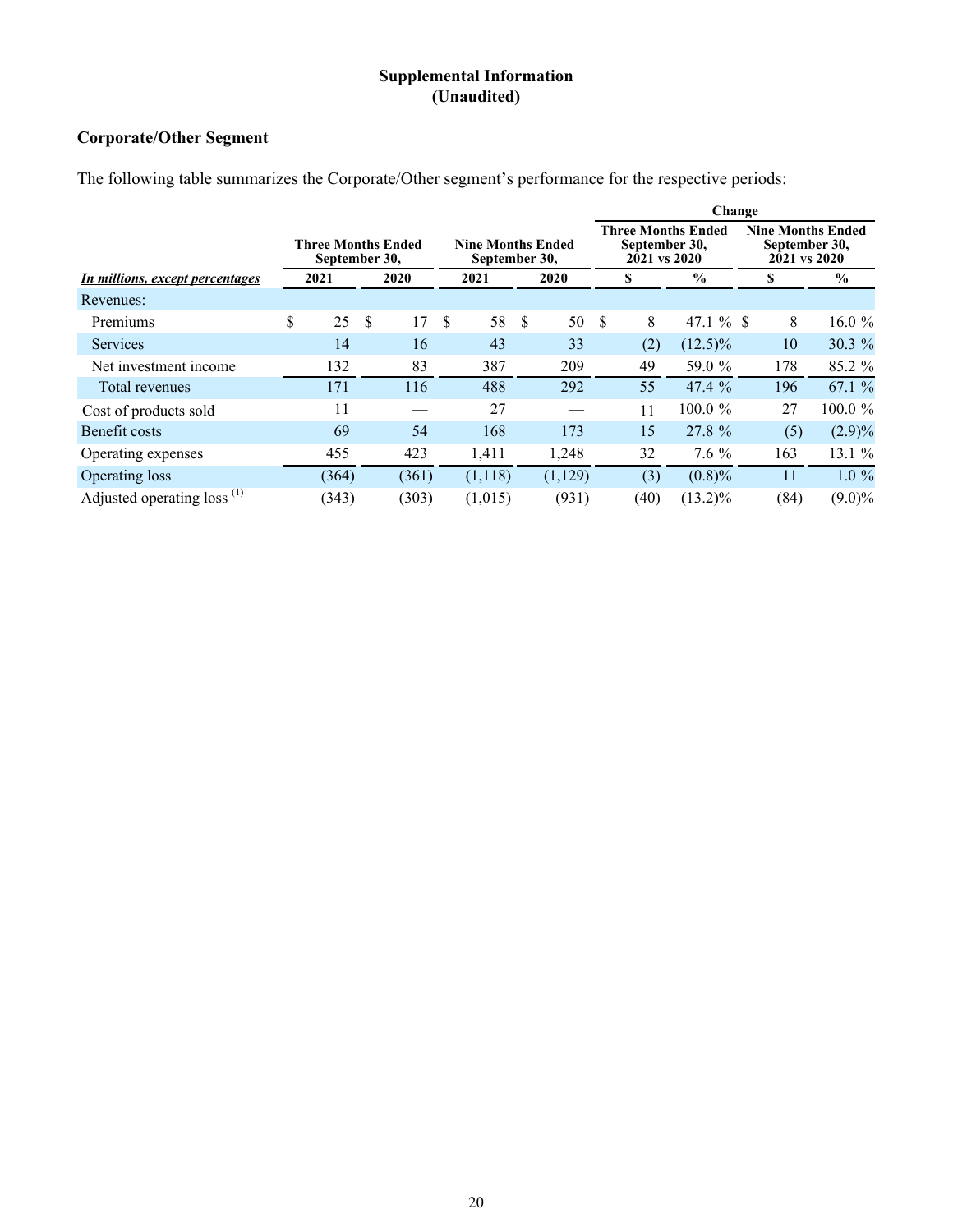# **Corporate/Other Segment**

|                                        |                                            |               |       |    |                                           | Change<br><b>Three Months Ended</b><br><b>Nine Months Ended</b><br>September 30,<br>September 30, |               |                  |               |  |                  |               |
|----------------------------------------|--------------------------------------------|---------------|-------|----|-------------------------------------------|---------------------------------------------------------------------------------------------------|---------------|------------------|---------------|--|------------------|---------------|
|                                        | <b>Three Months Ended</b><br>September 30, |               |       |    | <b>Nine Months Ended</b><br>September 30, |                                                                                                   |               | $2021$ vs $2020$ |               |  | $2021$ vs $2020$ |               |
| In millions, except percentages        | 2021                                       |               | 2020  |    | 2021                                      | 2020                                                                                              |               | S                | $\frac{6}{9}$ |  | \$               | $\frac{6}{9}$ |
| Revenues:                              |                                            |               |       |    |                                           |                                                                                                   |               |                  |               |  |                  |               |
| Premiums                               | \$<br>25                                   | <sup>\$</sup> | 17    | -S | 58 \$                                     | 50                                                                                                | <sup>\$</sup> | 8                | 47.1 $\%$ \$  |  | 8                | 16.0 $%$      |
| <b>Services</b>                        | 14                                         |               | 16    |    | 43                                        | 33                                                                                                |               | (2)              | $(12.5)\%$    |  | 10               | $30.3 \%$     |
| Net investment income                  | 132                                        |               | 83    |    | 387                                       | 209                                                                                               |               | 49               | 59.0 %        |  | 178              | 85.2 %        |
| Total revenues                         | 171                                        |               | 116   |    | 488                                       | 292                                                                                               |               | 55               | 47.4%         |  | 196              | 67.1%         |
| Cost of products sold                  | 11                                         |               |       |    | 27                                        |                                                                                                   |               | 11               | $100.0 \%$    |  | 27               | 100.0 %       |
| Benefit costs                          | 69                                         |               | 54    |    | 168                                       | 173                                                                                               |               | 15               | 27.8 %        |  | (5)              | $(2.9)\%$     |
| Operating expenses                     | 455                                        |               | 423   |    | 1,411                                     | 1,248                                                                                             |               | 32               | $7.6\%$       |  | 163              | 13.1%         |
| Operating loss                         | (364)                                      |               | (361) |    | (1,118)                                   | (1,129)                                                                                           |               | (3)              | (0.8)%        |  | 11               | 1.0%          |
| Adjusted operating loss <sup>(1)</sup> | (343)                                      |               | (303) |    | (1,015)                                   | (931)                                                                                             |               | (40)             | $(13.2)\%$    |  | (84)             | $(9.0)\%$     |

The following table summarizes the Corporate/Other segment's performance for the respective periods: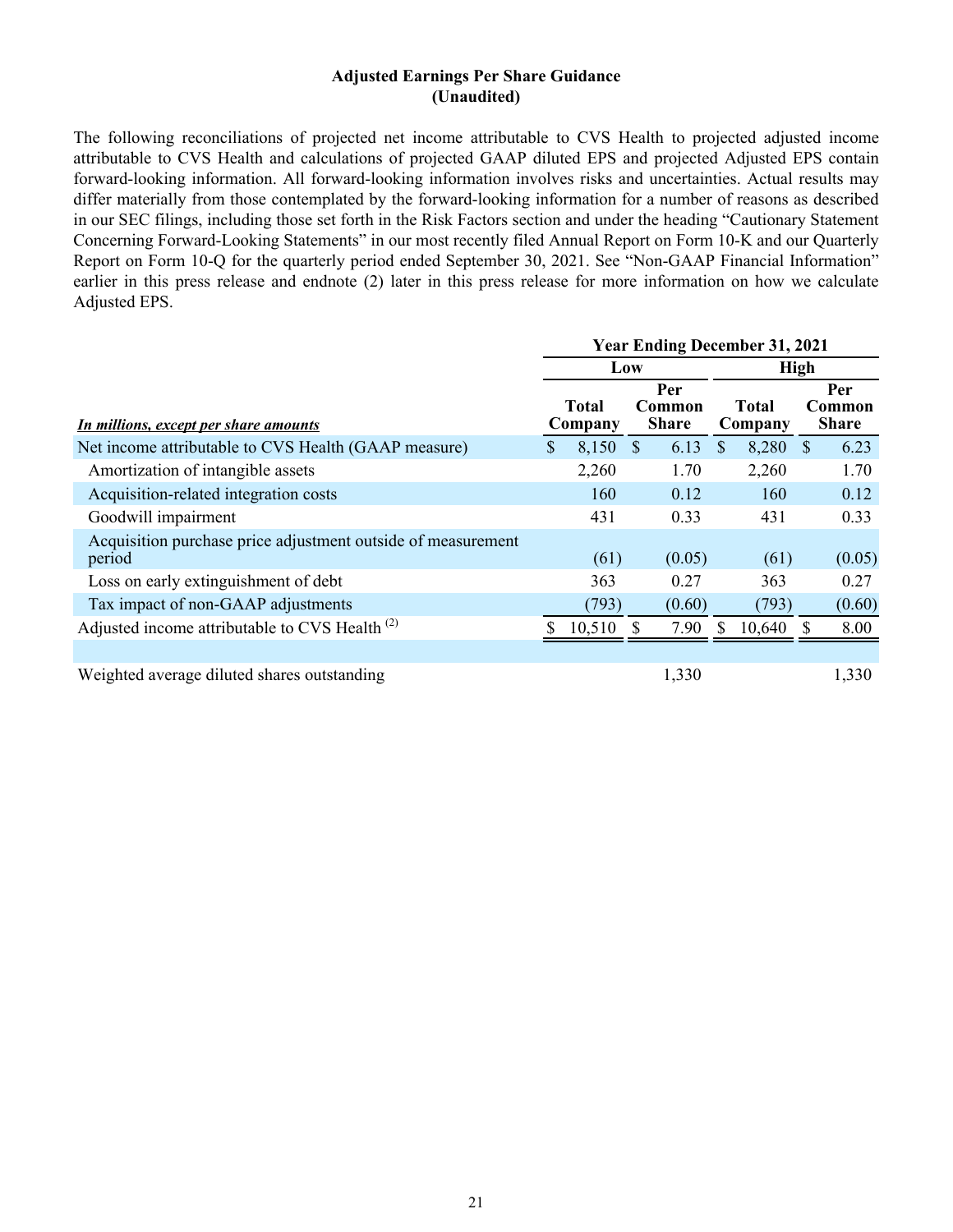#### **Adjusted Earnings Per Share Guidance (Unaudited)**

The following reconciliations of projected net income attributable to CVS Health to projected adjusted income attributable to CVS Health and calculations of projected GAAP diluted EPS and projected Adjusted EPS contain forward-looking information. All forward-looking information involves risks and uncertainties. Actual results may differ materially from those contemplated by the forward-looking information for a number of reasons as described in our SEC filings, including those set forth in the Risk Factors section and under the heading "Cautionary Statement Concerning Forward-Looking Statements" in our most recently filed Annual Report on Form 10-K and our Quarterly Report on Form 10-Q for the quarterly period ended September 30, 2021. See "Non-GAAP Financial Information" earlier in this press release and endnote (2) later in this press release for more information on how we calculate Adjusted EPS.

|                                                                        |                                              |                         |                    | <b>Year Ending December 31, 2021</b> |              |         |                    |                               |  |  |  |  |  |
|------------------------------------------------------------------------|----------------------------------------------|-------------------------|--------------------|--------------------------------------|--------------|---------|--------------------|-------------------------------|--|--|--|--|--|
|                                                                        | <b>High</b><br>Low<br>Per<br>Total<br>Common |                         |                    |                                      |              |         |                    |                               |  |  |  |  |  |
| <b>In millions, except per share amounts</b>                           |                                              | <b>Total</b><br>Company |                    | <b>Share</b>                         |              | Company |                    | Per<br>Common<br><b>Share</b> |  |  |  |  |  |
| Net income attributable to CVS Health (GAAP measure)                   | \$                                           | 8,150                   | $\mathbf{\hat{s}}$ | 6.13                                 | $\mathbb{S}$ | 8,280   | $\mathbf{\hat{s}}$ | 6.23                          |  |  |  |  |  |
| Amortization of intangible assets                                      |                                              | 2,260                   |                    | 1.70                                 |              | 2,260   |                    | 1.70                          |  |  |  |  |  |
| Acquisition-related integration costs                                  |                                              | 160                     |                    | 0.12                                 |              | 160     |                    | 0.12                          |  |  |  |  |  |
| Goodwill impairment                                                    |                                              | 431                     |                    | 0.33                                 |              | 431     |                    | 0.33                          |  |  |  |  |  |
| Acquisition purchase price adjustment outside of measurement<br>period |                                              | (61)                    |                    | (0.05)                               |              | (61)    |                    | (0.05)                        |  |  |  |  |  |
| Loss on early extinguishment of debt                                   |                                              | 363                     |                    | 0.27                                 |              | 363     |                    | 0.27                          |  |  |  |  |  |
| Tax impact of non-GAAP adjustments                                     |                                              | (793)                   |                    | (0.60)                               |              | (793)   |                    | (0.60)                        |  |  |  |  |  |
| Adjusted income attributable to CVS Health <sup>(2)</sup>              |                                              | 10,510                  |                    | 7.90                                 | S            | 10,640  | <sup>\$</sup>      | 8.00                          |  |  |  |  |  |
|                                                                        |                                              |                         |                    |                                      |              |         |                    |                               |  |  |  |  |  |
| Weighted average diluted shares outstanding                            |                                              |                         |                    | 1,330                                |              |         |                    | 1,330                         |  |  |  |  |  |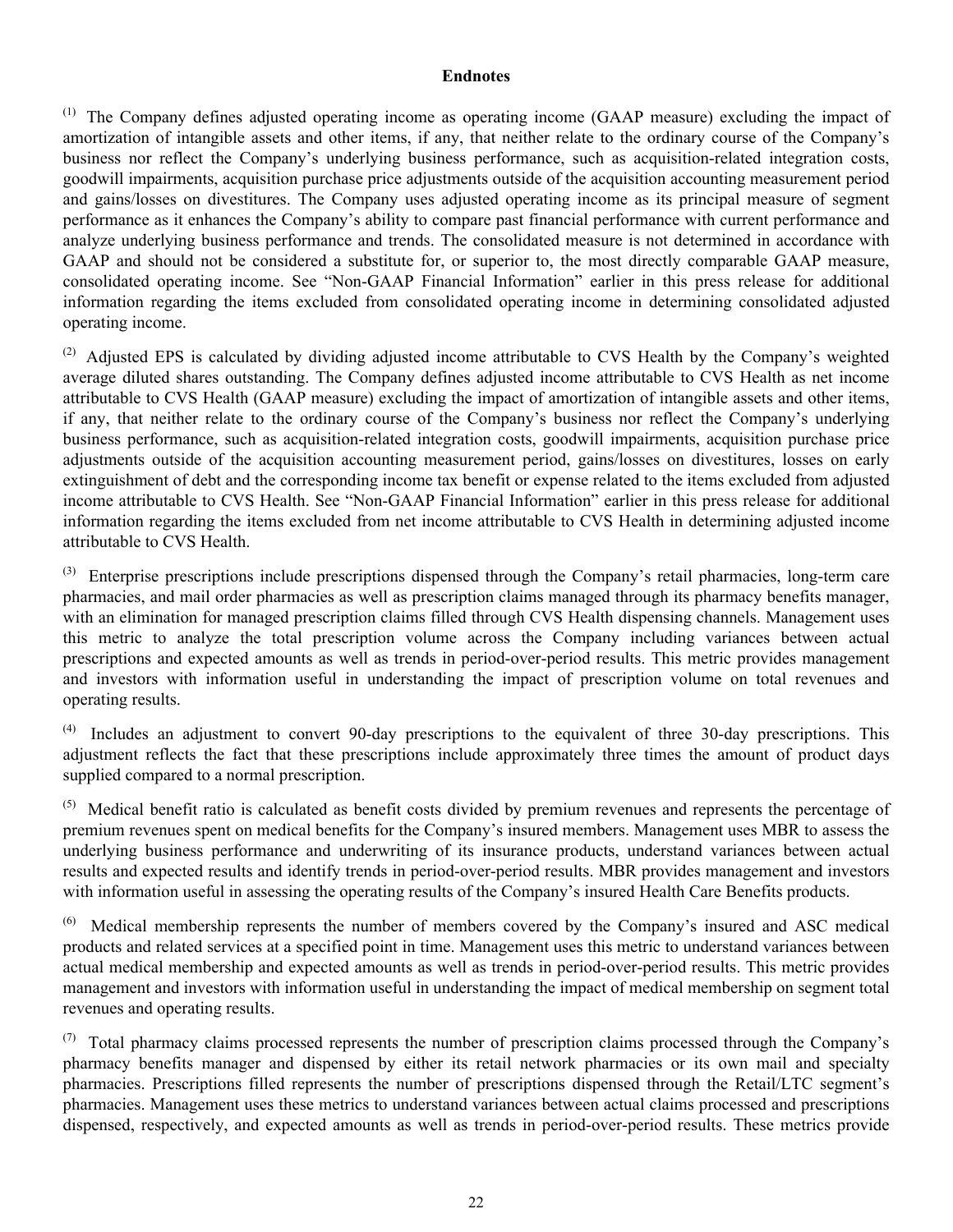#### **Endnotes**

(1) The Company defines adjusted operating income as operating income (GAAP measure) excluding the impact of amortization of intangible assets and other items, if any, that neither relate to the ordinary course of the Company's business nor reflect the Company's underlying business performance, such as acquisition-related integration costs, goodwill impairments, acquisition purchase price adjustments outside of the acquisition accounting measurement period and gains/losses on divestitures. The Company uses adjusted operating income as its principal measure of segment performance as it enhances the Company's ability to compare past financial performance with current performance and analyze underlying business performance and trends. The consolidated measure is not determined in accordance with GAAP and should not be considered a substitute for, or superior to, the most directly comparable GAAP measure, consolidated operating income. See "Non-GAAP Financial Information" earlier in this press release for additional information regarding the items excluded from consolidated operating income in determining consolidated adjusted operating income.

 $(2)$  Adjusted EPS is calculated by dividing adjusted income attributable to CVS Health by the Company's weighted average diluted shares outstanding. The Company defines adjusted income attributable to CVS Health as net income attributable to CVS Health (GAAP measure) excluding the impact of amortization of intangible assets and other items, if any, that neither relate to the ordinary course of the Company's business nor reflect the Company's underlying business performance, such as acquisition-related integration costs, goodwill impairments, acquisition purchase price adjustments outside of the acquisition accounting measurement period, gains/losses on divestitures, losses on early extinguishment of debt and the corresponding income tax benefit or expense related to the items excluded from adjusted income attributable to CVS Health. See "Non-GAAP Financial Information" earlier in this press release for additional information regarding the items excluded from net income attributable to CVS Health in determining adjusted income attributable to CVS Health.

(3) Enterprise prescriptions include prescriptions dispensed through the Company's retail pharmacies, long-term care pharmacies, and mail order pharmacies as well as prescription claims managed through its pharmacy benefits manager, with an elimination for managed prescription claims filled through CVS Health dispensing channels. Management uses this metric to analyze the total prescription volume across the Company including variances between actual prescriptions and expected amounts as well as trends in period-over-period results. This metric provides management and investors with information useful in understanding the impact of prescription volume on total revenues and operating results.

 $(4)$  Includes an adjustment to convert 90-day prescriptions to the equivalent of three 30-day prescriptions. This adjustment reflects the fact that these prescriptions include approximately three times the amount of product days supplied compared to a normal prescription.

 $(5)$  Medical benefit ratio is calculated as benefit costs divided by premium revenues and represents the percentage of premium revenues spent on medical benefits for the Company's insured members. Management uses MBR to assess the underlying business performance and underwriting of its insurance products, understand variances between actual results and expected results and identify trends in period-over-period results. MBR provides management and investors with information useful in assessing the operating results of the Company's insured Health Care Benefits products.

(6) Medical membership represents the number of members covered by the Company's insured and ASC medical products and related services at a specified point in time. Management uses this metric to understand variances between actual medical membership and expected amounts as well as trends in period-over-period results. This metric provides management and investors with information useful in understanding the impact of medical membership on segment total revenues and operating results.

(7) Total pharmacy claims processed represents the number of prescription claims processed through the Company's pharmacy benefits manager and dispensed by either its retail network pharmacies or its own mail and specialty pharmacies. Prescriptions filled represents the number of prescriptions dispensed through the Retail/LTC segment's pharmacies. Management uses these metrics to understand variances between actual claims processed and prescriptions dispensed, respectively, and expected amounts as well as trends in period-over-period results. These metrics provide